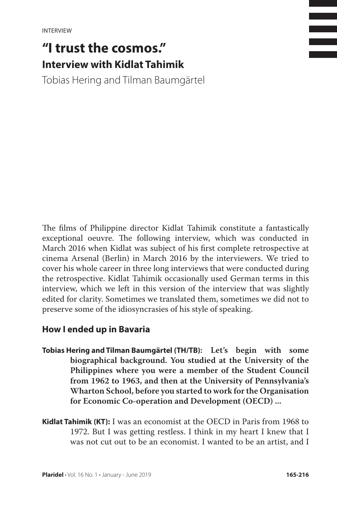# **"I trust the cosmos." Interview with Kidlat Tahimik**

Tobias Hering and Tilman Baumgärtel

The films of Philippine director Kidlat Tahimik constitute a fantastically exceptional oeuvre. The following interview, which was conducted in March 2016 when Kidlat was subject of his first complete retrospective at cinema Arsenal (Berlin) in March 2016 by the interviewers. We tried to cover his whole career in three long interviews that were conducted during the retrospective. Kidlat Tahimik occasionally used German terms in this interview, which we left in this version of the interview that was slightly edited for clarity. Sometimes we translated them, sometimes we did not to preserve some of the idiosyncrasies of his style of speaking.

# **How I ended up in Bavaria**

- **Tobias Hering and Tilman Baumgärtel (TH/TB): Let's begin with some biographical background. You studied at the University of the Philippines where you were a member of the Student Council from 1962 to 1963, and then at the University of Pennsylvania's Wharton School, before you started to work for the Organisation for Economic Co-operation and Development (OECD) ...**
- **Kidlat Tahimik (KT):** I was an economist at the OECD in Paris from 1968 to 1972. But I was getting restless. I think in my heart I knew that I was not cut out to be an economist. I wanted to be an artist, and I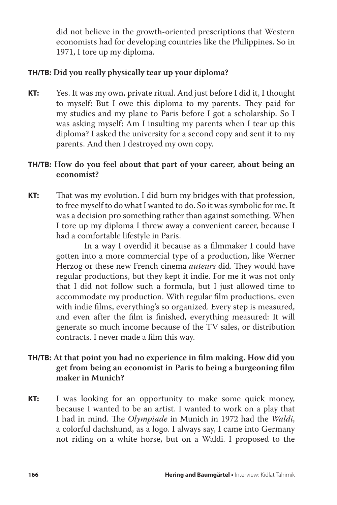did not believe in the growth-oriented prescriptions that Western economists had for developing countries like the Philippines. So in 1971, I tore up my diploma.

# **TH/TB: Did you really physically tear up your diploma?**

**KT:** Yes. It was my own, private ritual. And just before I did it, I thought to myself: But I owe this diploma to my parents. They paid for my studies and my plane to Paris before I got a scholarship. So I was asking myself: Am I insulting my parents when I tear up this diploma? I asked the university for a second copy and sent it to my parents. And then I destroyed my own copy.

# **TH/TB: How do you feel about that part of your career, about being an economist?**

**KT:** That was my evolution. I did burn my bridges with that profession, to free myself to do what I wanted to do. So it was symbolic for me. It was a decision pro something rather than against something. When I tore up my diploma I threw away a convenient career, because I had a comfortable lifestyle in Paris.

> In a way I overdid it because as a filmmaker I could have gotten into a more commercial type of a production, like Werner Herzog or these new French cinema *auteurs* did. They would have regular productions, but they kept it indie. For me it was not only that I did not follow such a formula, but I just allowed time to accommodate my production. With regular film productions, even with indie films, everything's so organized. Every step is measured, and even after the film is finished, everything measured: It will generate so much income because of the TV sales, or distribution contracts. I never made a film this way.

# **TH/TB: At that point you had no experience in film making. How did you get from being an economist in Paris to being a burgeoning film maker in Munich?**

**KT:** I was looking for an opportunity to make some quick money, because I wanted to be an artist. I wanted to work on a play that I had in mind. The *Olympiade* in Munich in 1972 had the *Waldi*, a colorful dachshund, as a logo. I always say, I came into Germany not riding on a white horse, but on a Waldi. I proposed to the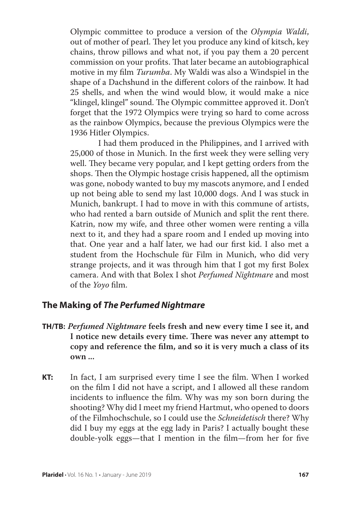Olympic committee to produce a version of the *Olympia Waldi*, out of mother of pearl. They let you produce any kind of kitsch, key chains, throw pillows and what not, if you pay them a 20 percent commission on your profits. That later became an autobiographical motive in my film *Turumba*. My Waldi was also a Windspiel in the shape of a Dachshund in the different colors of the rainbow. It had 25 shells, and when the wind would blow, it would make a nice "klingel, klingel" sound. The Olympic committee approved it. Don't forget that the 1972 Olympics were trying so hard to come across as the rainbow Olympics, because the previous Olympics were the 1936 Hitler Olympics.

 I had them produced in the Philippines, and I arrived with 25,000 of those in Munich. In the first week they were selling very well. They became very popular, and I kept getting orders from the shops. Then the Olympic hostage crisis happened, all the optimism was gone, nobody wanted to buy my mascots anymore, and I ended up not being able to send my last 10,000 dogs. And I was stuck in Munich, bankrupt. I had to move in with this commune of artists, who had rented a barn outside of Munich and split the rent there. Katrin, now my wife, and three other women were renting a villa next to it, and they had a spare room and I ended up moving into that. One year and a half later, we had our first kid. I also met a student from the Hochschule für Film in Munich, who did very strange projects, and it was through him that I got my first Bolex camera. And with that Bolex I shot *Perfumed Nightmare* and most of the *Yoyo* film.

# **The Making of** *The Perfumed Nightmare*

- **TH/TB:** *Perfumed Nightmare* **feels fresh and new every time I see it, and I notice new details every time. There was never any attempt to copy and reference the film, and so it is very much a class of its own ...**
- **KT:** In fact, I am surprised every time I see the film. When I worked on the film I did not have a script, and I allowed all these random incidents to influence the film. Why was my son born during the shooting? Why did I meet my friend Hartmut, who opened to doors of the Filmhochschule, so I could use the *Schneidetisch* there? Why did I buy my eggs at the egg lady in Paris? I actually bought these double-yolk eggs—that I mention in the film—from her for five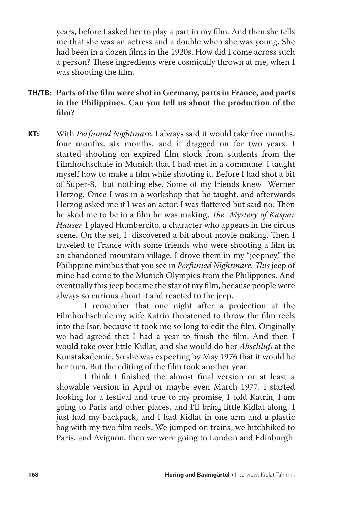years, before I asked her to play a part in my film. And then she tells me that she was an actress and a double when she was young. She had been in a dozen films in the 1920s. How did I come across such a person? These ingredients were cosmically thrown at me, when I was shooting the film.

- **TH/TB**: **Parts of the film were shot in Germany, parts in France, and parts in the Philippines. Can you tell us about the production of the film?**
- **KT:** With *Perfumed Nightmare*, I always said it would take five months, four months, six months, and it dragged on for two years. I started shooting on expired film stock from students from the Filmhochschule in Munich that I had met in a commune. I taught myself how to make a film while shooting it. Before I had shot a bit of Super-8, but nothing else. Some of my friends knew Werner Herzog. Once I was in a workshop that he taught, and afterwards Herzog asked me if I was an actor. I was flattered but said no. Then he sked me to be in a film he was making, *The Mystery of Kaspar Hauser.* I played Humbercito, a character who appears in the circus scene. On the set, I discovered a bit about movie making. Then I traveled to France with some friends who were shooting a film in an abandoned mountain village. I drove them in my "jeepney," the Philippine minibus that you see in *Perfumed Nightmare. This* jeep of mine had come to the Munich Olympics from the Philippines. And eventually this jeep became the star of my film, because people were always so curious about it and reacted to the jeep.

 I remember that one night after a projection at the Filmhochschule my wife Katrin threatened to throw the film reels into the Isar, because it took me so long to edit the film. Originally we had agreed that I had a year to finish the film. And then I would take over little Kidlat, and she would do her *Abschluß* at the Kunstakademie. So she was expecting by May 1976 that it would be her turn. But the editing of the film took another year.

 I think I finished the almost final version or at least a showable version in April or maybe even March 1977. I started looking for a festival and true to my promise, I told Katrin, I am going to Paris and other places, and I'll bring little Kidlat along. I just had my backpack, and I had Kidlat in one arm and a plastic bag with my two film reels. We jumped on trains, we hitchhiked to Paris, and Avignon, then we were going to London and Edinburgh.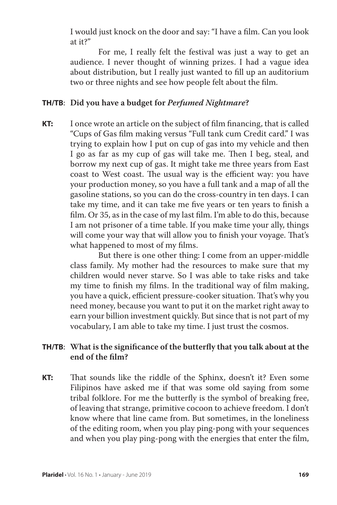I would just knock on the door and say: "I have a film. Can you look at it?"

 For me, I really felt the festival was just a way to get an audience. I never thought of winning prizes. I had a vague idea about distribution, but I really just wanted to fill up an auditorium two or three nights and see how people felt about the film.

## **TH/TB**: **Did you have a budget for** *Perfumed Nightmare***?**

**KT:** I once wrote an article on the subject of film financing, that is called "Cups of Gas film making versus "Full tank cum Credit card." I was trying to explain how I put on cup of gas into my vehicle and then I go as far as my cup of gas will take me. Then I beg, steal, and borrow my next cup of gas. It might take me three years from East coast to West coast. The usual way is the efficient way: you have your production money, so you have a full tank and a map of all the gasoline stations, so you can do the cross-country in ten days. I can take my time, and it can take me five years or ten years to finish a film. Or 35, as in the case of my last film. I'm able to do this, because I am not prisoner of a time table. If you make time your ally, things will come your way that will allow you to finish your voyage. That's what happened to most of my films.

> But there is one other thing: I come from an upper-middle class family. My mother had the resources to make sure that my children would never starve. So I was able to take risks and take my time to finish my films. In the traditional way of film making, you have a quick, efficient pressure-cooker situation. That's why you need money, because you want to put it on the market right away to earn your billion investment quickly. But since that is not part of my vocabulary, I am able to take my time. I just trust the cosmos.

# **TH/TB**: **What is the significance of the butterfly that you talk about at the end of the film?**

**KT:** That sounds like the riddle of the Sphinx, doesn't it? Even some Filipinos have asked me if that was some old saying from some tribal folklore. For me the butterfly is the symbol of breaking free, of leaving that strange, primitive cocoon to achieve freedom. I don't know where that line came from. But sometimes, in the loneliness of the editing room, when you play ping-pong with your sequences and when you play ping-pong with the energies that enter the film,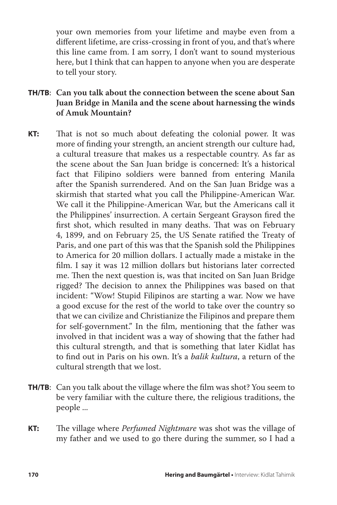your own memories from your lifetime and maybe even from a different lifetime, are criss-crossing in front of you, and that's where this line came from. I am sorry, I don't want to sound mysterious here, but I think that can happen to anyone when you are desperate to tell your story.

- **TH/TB**: **Can you talk about the connection between the scene about San Juan Bridge in Manila and the scene about harnessing the winds of Amuk Mountain?**
- **KT:** That is not so much about defeating the colonial power. It was more of finding your strength, an ancient strength our culture had, a cultural treasure that makes us a respectable country. As far as the scene about the San Juan bridge is concerned: It's a historical fact that Filipino soldiers were banned from entering Manila after the Spanish surrendered. And on the San Juan Bridge was a skirmish that started what you call the Philippine-American War. We call it the Philippine-American War, but the Americans call it the Philippines' insurrection. A certain Sergeant Grayson fired the first shot, which resulted in many deaths. That was on February 4, 1899, and on February 25, the US Senate ratified the Treaty of Paris, and one part of this was that the Spanish sold the Philippines to America for 20 million dollars. I actually made a mistake in the film. I say it was 12 million dollars but historians later corrected me. Then the next question is, was that incited on San Juan Bridge rigged? The decision to annex the Philippines was based on that incident: "Wow! Stupid Filipinos are starting a war. Now we have a good excuse for the rest of the world to take over the country so that we can civilize and Christianize the Filipinos and prepare them for self-government." In the film, mentioning that the father was involved in that incident was a way of showing that the father had this cultural strength, and that is something that later Kidlat has to find out in Paris on his own. It's a *balik kultura*, a return of the cultural strength that we lost.
- **TH/TB:** Can you talk about the village where the film was shot? You seem to be very familiar with the culture there, the religious traditions, the people ...
- **KT:** The village where *Perfumed Nightmare* was shot was the village of my father and we used to go there during the summer, so I had a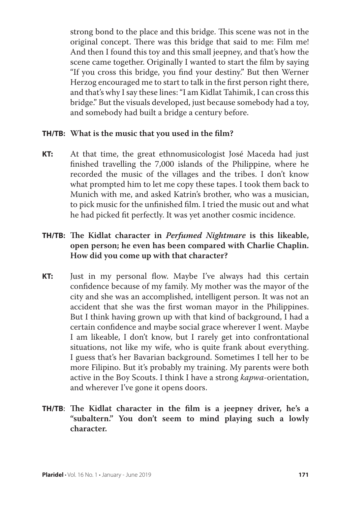strong bond to the place and this bridge. This scene was not in the original concept. There was this bridge that said to me: Film me! And then I found this toy and this small jeepney, and that's how the scene came together. Originally I wanted to start the film by saying "If you cross this bridge, you find your destiny." But then Werner Herzog encouraged me to start to talk in the first person right there, and that's why I say these lines: "I am Kidlat Tahimik, I can cross this bridge." But the visuals developed, just because somebody had a toy, and somebody had built a bridge a century before.

#### **TH/TB: What is the music that you used in the film?**

**KT:** At that time, the great ethnomusicologist José Maceda had just finished travelling the 7,000 islands of the Philippine, where he recorded the music of the villages and the tribes. I don't know what prompted him to let me copy these tapes. I took them back to Munich with me, and asked Katrin's brother, who was a musician, to pick music for the unfinished film. I tried the music out and what he had picked fit perfectly. It was yet another cosmic incidence.

# **TH/TB: The Kidlat character in** *Perfumed Nightmare* **is this likeable, open person; he even has been compared with Charlie Chaplin. How did you come up with that character?**

**KT:** Just in my personal flow. Maybe I've always had this certain confidence because of my family. My mother was the mayor of the city and she was an accomplished, intelligent person. It was not an accident that she was the first woman mayor in the Philippines. But I think having grown up with that kind of background, I had a certain confidence and maybe social grace wherever I went. Maybe I am likeable, I don't know, but I rarely get into confrontational situations, not like my wife, who is quite frank about everything. I guess that's her Bavarian background. Sometimes I tell her to be more Filipino. But it's probably my training. My parents were both active in the Boy Scouts. I think I have a strong *kapwa*-orientation, and wherever I've gone it opens doors.

# **TH/TB**: **The Kidlat character in the film is a jeepney driver, he's a "subaltern." You don't seem to mind playing such a lowly character.**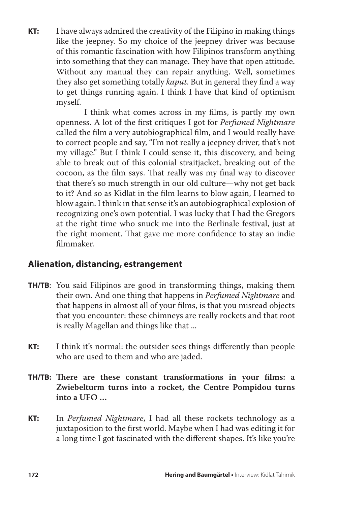**KT:** I have always admired the creativity of the Filipino in making things like the jeepney. So my choice of the jeepney driver was because of this romantic fascination with how Filipinos transform anything into something that they can manage. They have that open attitude. Without any manual they can repair anything. Well, sometimes they also get something totally *kaput*. But in general they find a way to get things running again. I think I have that kind of optimism myself.

> I think what comes across in my films, is partly my own openness. A lot of the first critiques I got for *Perfumed Nightmare* called the film a very autobiographical film, and I would really have to correct people and say, "I'm not really a jeepney driver, that's not my village." But I think I could sense it, this discovery, and being able to break out of this colonial straitjacket, breaking out of the cocoon, as the film says. That really was my final way to discover that there's so much strength in our old culture—why not get back to it? And so as Kidlat in the film learns to blow again, I learned to blow again. I think in that sense it's an autobiographical explosion of recognizing one's own potential. I was lucky that I had the Gregors at the right time who snuck me into the Berlinale festival, just at the right moment. That gave me more confidence to stay an indie filmmaker.

# **Alienation, distancing, estrangement**

- **TH/TB**: You said Filipinos are good in transforming things, making them their own. And one thing that happens in *Perfumed Nightmare* and that happens in almost all of your films, is that you misread objects that you encounter: these chimneys are really rockets and that root is really Magellan and things like that ...
- **KT:** I think it's normal: the outsider sees things differently than people who are used to them and who are jaded.
- **TH/TB: There are these constant transformations in your films: a Zwiebelturm turns into a rocket, the Centre Pompidou turns into a UFO …**
- **KT:** In *Perfumed Nightmare*, I had all these rockets technology as a juxtaposition to the first world. Maybe when I had was editing it for a long time I got fascinated with the different shapes. It's like you're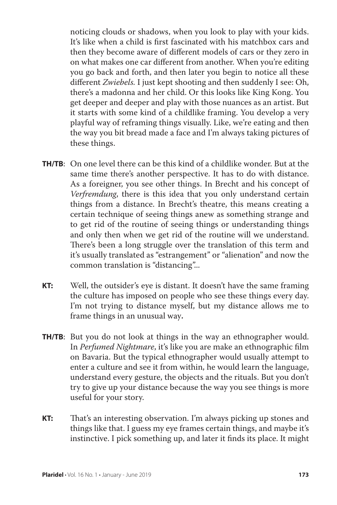noticing clouds or shadows, when you look to play with your kids. It's like when a child is first fascinated with his matchbox cars and then they become aware of different models of cars or they zero in on what makes one car different from another. When you're editing you go back and forth, and then later you begin to notice all these different *Zwiebels.* I just kept shooting and then suddenly I see: Oh, there's a madonna and her child. Or this looks like King Kong. You get deeper and deeper and play with those nuances as an artist. But it starts with some kind of a childlike framing. You develop a very playful way of reframing things visually. Like, we're eating and then the way you bit bread made a face and I'm always taking pictures of these things.

- **TH/TB**: On one level there can be this kind of a childlike wonder. But at the same time there's another perspective. It has to do with distance. As a foreigner, you see other things. In Brecht and his concept of *Verfremdung*, there is this idea that you only understand certain things from a distance. In Brecht's theatre, this means creating a certain technique of seeing things anew as something strange and to get rid of the routine of seeing things or understanding things and only then when we get rid of the routine will we understand. There's been a long struggle over the translation of this term and it's usually translated as "estrangement" or "alienation" and now the common translation is "distancing"...
- **KT:** Well, the outsider's eye is distant. It doesn't have the same framing the culture has imposed on people who see these things every day. I'm not trying to distance myself, but my distance allows me to frame things in an unusual way**.**
- **TH/TB**: But you do not look at things in the way an ethnographer would. In *Perfumed Nightmare*, it's like you are make an ethnographic film on Bavaria. But the typical ethnographer would usually attempt to enter a culture and see it from within, he would learn the language, understand every gesture, the objects and the rituals. But you don't try to give up your distance because the way you see things is more useful for your story.
- **KT:** That's an interesting observation. I'm always picking up stones and things like that. I guess my eye frames certain things, and maybe it's instinctive. I pick something up, and later it finds its place. It might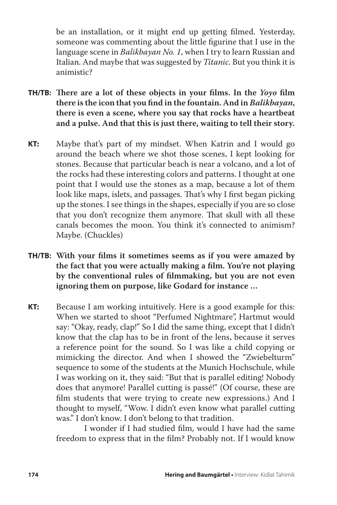be an installation, or it might end up getting filmed. Yesterday, someone was commenting about the little figurine that I use in the language scene in *Balikbayan No. 1*, when I try to learn Russian and Italian. And maybe that was suggested by *Titanic*. But you think it is animistic?

- **TH/TB: There are a lot of these objects in your films. In the** *Yoyo* **film there is the icon that you find in the fountain. And in** *Balikbayan***, there is even a scene, where you say that rocks have a heartbeat and a pulse. And that this is just there, waiting to tell their story.**
- **KT:** Maybe that's part of my mindset. When Katrin and I would go around the beach where we shot those scenes, I kept looking for stones. Because that particular beach is near a volcano, and a lot of the rocks had these interesting colors and patterns. I thought at one point that I would use the stones as a map, because a lot of them look like maps, islets, and passages. That's why I first began picking up the stones. I see things in the shapes, especially if you are so close that you don't recognize them anymore. That skull with all these canals becomes the moon. You think it's connected to animism? Maybe. (Chuckles)
- **TH/TB: With your films it sometimes seems as if you were amazed by the fact that you were actually making a film. You're not playing by the conventional rules of filmmaking, but you are not even ignoring them on purpose, like Godard for instance …**
- **KT:** Because I am working intuitively. Here is a good example for this: When we started to shoot "Perfumed Nightmare", Hartmut would say: "Okay, ready, clap!" So I did the same thing, except that I didn't know that the clap has to be in front of the lens, because it serves a reference point for the sound. So I was like a child copying or mimicking the director. And when I showed the "Zwiebelturm" sequence to some of the students at the Munich Hochschule, while I was working on it, they said: "But that is parallel editing! Nobody does that anymore! Parallel cutting is passé!" (Of course, these are film students that were trying to create new expressions.) And I thought to myself, "Wow. I didn't even know what parallel cutting was." I don't know. I don't belong to that tradition.

 I wonder if I had studied film, would I have had the same freedom to express that in the film? Probably not. If I would know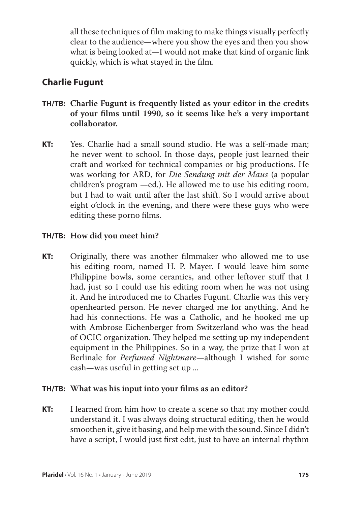all these techniques of film making to make things visually perfectly clear to the audience—where you show the eyes and then you show what is being looked at—I would not make that kind of organic link quickly, which is what stayed in the film.

# **Charlie Fugunt**

- **TH/TB: Charlie Fugunt is frequently listed as your editor in the credits of your films until 1990, so it seems like he's a very important collaborator.**
- **KT:** Yes. Charlie had a small sound studio. He was a self-made man; he never went to school. In those days, people just learned their craft and worked for technical companies or big productions. He was working for ARD, for *Die Sendung mit der Maus* (a popular children's program —ed.). He allowed me to use his editing room, but I had to wait until after the last shift. So I would arrive about eight o'clock in the evening, and there were these guys who were editing these porno films.

# **TH/TB: How did you meet him?**

**KT:** Originally, there was another filmmaker who allowed me to use his editing room, named H. P. Mayer. I would leave him some Philippine bowls, some ceramics, and other leftover stuff that I had, just so I could use his editing room when he was not using it. And he introduced me to Charles Fugunt. Charlie was this very openhearted person. He never charged me for anything. And he had his connections. He was a Catholic, and he hooked me up with Ambrose Eichenberger from Switzerland who was the head of OCIC organization. They helped me setting up my independent equipment in the Philippines. So in a way, the prize that I won at Berlinale for *Perfumed Nightmare*—although I wished for some cash—was useful in getting set up ...

# **TH/TB: What was his input into your films as an editor?**

**KT:** I learned from him how to create a scene so that my mother could understand it. I was always doing structural editing, then he would smoothen it, give it basing, and help me with the sound. Since I didn't have a script, I would just first edit, just to have an internal rhythm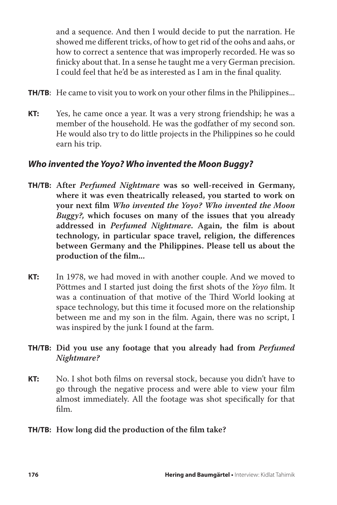and a sequence. And then I would decide to put the narration. He showed me different tricks, of how to get rid of the oohs and aahs, or how to correct a sentence that was improperly recorded. He was so finicky about that. In a sense he taught me a very German precision. I could feel that he'd be as interested as I am in the final quality.

- **TH/TB:** He came to visit you to work on your other films in the Philippines...
- **KT:** Yes, he came once a year. It was a very strong friendship; he was a member of the household. He was the godfather of my second son. He would also try to do little projects in the Philippines so he could earn his trip.

# *Who invented the Yoyo? Who invented the Moon Buggy?*

- **TH/TB: After** *Perfumed Nightmare* **was so well-received in Germany, where it was even theatrically released, you started to work on your next film** *Who invented the Yoyo? Who invented the Moon Buggy?,* **which focuses on many of the issues that you already addressed in** *Perfumed Nightmare***. Again, the film is about technology, in particular space travel, religion, the differences between Germany and the Philippines. Please tell us about the production of the film...**
- **KT:** In 1978, we had moved in with another couple. And we moved to Pöttmes and I started just doing the first shots of the *Yoyo* film. It was a continuation of that motive of the Third World looking at space technology, but this time it focused more on the relationship between me and my son in the film. Again, there was no script, I was inspired by the junk I found at the farm.

# **TH/TB: Did you use any footage that you already had from** *Perfumed Nightmare?*

**KT:** No. I shot both films on reversal stock, because you didn't have to go through the negative process and were able to view your film almost immediately. All the footage was shot specifically for that film.

# **TH/TB: How long did the production of the film take?**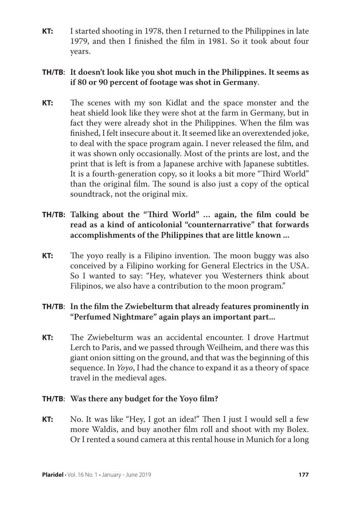**KT:** I started shooting in 1978, then I returned to the Philippines in late 1979, and then I finished the film in 1981. So it took about four years.

# **TH/TB**: **It doesn't look like you shot much in the Philippines. It seems as if 80 or 90 percent of footage was shot in Germany**.

**KT:** The scenes with my son Kidlat and the space monster and the heat shield look like they were shot at the farm in Germany, but in fact they were already shot in the Philippines. When the film was finished, I felt insecure about it. It seemed like an overextended joke, to deal with the space program again. I never released the film, and it was shown only occasionally. Most of the prints are lost, and the print that is left is from a Japanese archive with Japanese subtitles. It is a fourth-generation copy, so it looks a bit more "Third World" than the original film. The sound is also just a copy of the optical soundtrack, not the original mix.

# **TH/TB: Talking about the "Third World" … again, the film could be read as a kind of anticolonial "counternarrative" that forwards accomplishments of the Philippines that are little known ...**

**KT:** The yoyo really is a Filipino invention. The moon buggy was also conceived by a Filipino working for General Electrics in the USA. So I wanted to say: "Hey, whatever you Westerners think about Filipinos, we also have a contribution to the moon program."

# **TH/TB**: **In the film the Zwiebelturm that already features prominently in "Perfumed Nightmare" again plays an important part...**

**KT:** The Zwiebelturm was an accidental encounter. I drove Hartmut Lerch to Paris, and we passed through Weilheim, and there was this giant onion sitting on the ground, and that was the beginning of this sequence. In *Yoyo*, I had the chance to expand it as a theory of space travel in the medieval ages.

## **TH/TB**: **Was there any budget for the Yoyo film?**

**KT:** No. It was like "Hey, I got an idea!" Then I just I would sell a few more Waldis, and buy another film roll and shoot with my Bolex. Or I rented a sound camera at this rental house in Munich for a long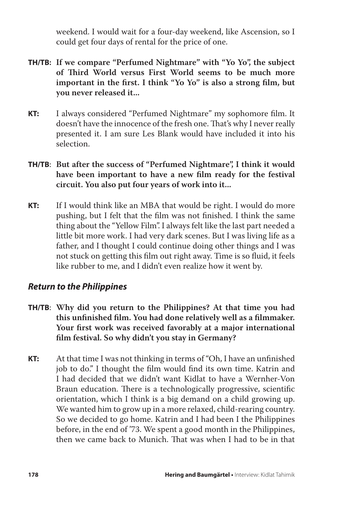weekend. I would wait for a four-day weekend, like Ascension, so I could get four days of rental for the price of one.

- **TH/TB: If we compare "Perfumed Nightmare" with "Yo Yo", the subject of Third World versus First World seems to be much more important in the first. I think "Yo Yo" is also a strong film, but you never released it...**
- **KT:** I always considered "Perfumed Nightmare" my sophomore film. It doesn't have the innocence of the fresh one. That's why I never really presented it. I am sure Les Blank would have included it into his selection.
- **TH/TB**: **But after the success of "Perfumed Nightmare", I think it would have been important to have a new film ready for the festival circuit. You also put four years of work into it...**
- **KT:** If I would think like an MBA that would be right. I would do more pushing, but I felt that the film was not finished. I think the same thing about the "Yellow Film". I always felt like the last part needed a little bit more work. I had very dark scenes. But I was living life as a father, and I thought I could continue doing other things and I was not stuck on getting this film out right away. Time is so fluid, it feels like rubber to me, and I didn't even realize how it went by.

# *Return to the Philippines*

- **TH/TB**: **Why did you return to the Philippines? At that time you had this unfinished film. You had done relatively well as a filmmaker. Your first work was received favorably at a major international film festival. So why didn't you stay in Germany?**
- **KT:** At that time I was not thinking in terms of "Oh, I have an unfinished job to do." I thought the film would find its own time. Katrin and I had decided that we didn't want Kidlat to have a Wernher-Von Braun education. There is a technologically progressive, scientific orientation, which I think is a big demand on a child growing up. We wanted him to grow up in a more relaxed, child-rearing country. So we decided to go home. Katrin and I had been I the Philippines before, in the end of '73. We spent a good month in the Philippines, then we came back to Munich. That was when I had to be in that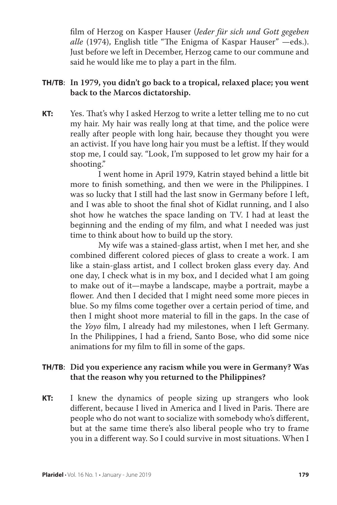film of Herzog on Kasper Hauser (*Jeder für sich und Gott gegeben alle* (1974), English title "The Enigma of Kaspar Hauser" —eds.). Just before we left in December, Herzog came to our commune and said he would like me to play a part in the film.

# **TH/TB**: **In 1979, you didn't go back to a tropical, relaxed place; you went back to the Marcos dictatorship.**

**KT:** Yes. That's why I asked Herzog to write a letter telling me to no cut my hair. My hair was really long at that time, and the police were really after people with long hair, because they thought you were an activist. If you have long hair you must be a leftist. If they would stop me, I could say. "Look, I'm supposed to let grow my hair for a shooting."

> I went home in April 1979, Katrin stayed behind a little bit more to finish something, and then we were in the Philippines. I was so lucky that I still had the last snow in Germany before I left, and I was able to shoot the final shot of Kidlat running, and I also shot how he watches the space landing on TV. I had at least the beginning and the ending of my film, and what I needed was just time to think about how to build up the story.

> My wife was a stained-glass artist, when I met her, and she combined different colored pieces of glass to create a work. I am like a stain-glass artist, and I collect broken glass every day. And one day, I check what is in my box, and I decided what I am going to make out of it—maybe a landscape, maybe a portrait, maybe a flower. And then I decided that I might need some more pieces in blue. So my films come together over a certain period of time, and then I might shoot more material to fill in the gaps. In the case of the *Yoyo* film, I already had my milestones, when I left Germany. In the Philippines, I had a friend, Santo Bose, who did some nice animations for my film to fill in some of the gaps.

## **TH/TB**: **Did you experience any racism while you were in Germany? Was that the reason why you returned to the Philippines?**

**KT:** I knew the dynamics of people sizing up strangers who look different, because I lived in America and I lived in Paris. There are people who do not want to socialize with somebody who's different, but at the same time there's also liberal people who try to frame you in a different way. So I could survive in most situations. When I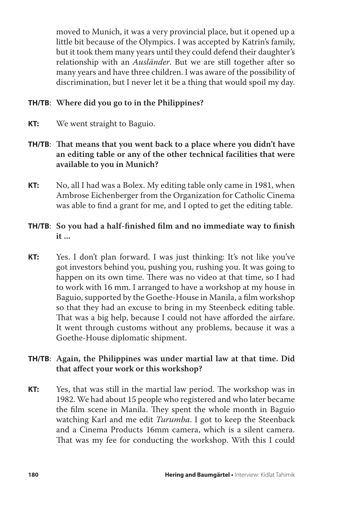moved to Munich, it was a very provincial place, but it opened up a little bit because of the Olympics. I was accepted by Katrin's family, but it took them many years until they could defend their daughter's relationship with an *Ausländer*. But we are still together after so many years and have three children. I was aware of the possibility of discrimination, but I never let it be a thing that would spoil my day.

# **TH/TB**: **Where did you go to in the Philippines?**

**KT:** We went straight to Baguio.

# **TH/TB**: **That means that you went back to a place where you didn't have an editing table or any of the other technical facilities that were available to you in Munich?**

**KT:** No, all I had was a Bolex. My editing table only came in 1981, when Ambrose Eichenberger from the Organization for Catholic Cinema was able to find a grant for me, and I opted to get the editing table.

# **TH/TB**: **So you had a half-finished film and no immediate way to finish it ...**

**KT:** Yes. I don't plan forward. I was just thinking: It's not like you've got investors behind you, pushing you, rushing you. It was going to happen on its own time. There was no video at that time, so I had to work with 16 mm. I arranged to have a workshop at my house in Baguio, supported by the Goethe-House in Manila, a film workshop so that they had an excuse to bring in my Steenbeck editing table. That was a big help, because I could not have afforded the airfare. It went through customs without any problems, because it was a Goethe-House diplomatic shipment.

# **TH/TB**: **Again, the Philippines was under martial law at that time. Did that affect your work or this workshop?**

**KT:** Yes, that was still in the martial law period. The workshop was in 1982. We had about 15 people who registered and who later became the film scene in Manila. They spent the whole month in Baguio watching Karl and me edit *Turumba*. I got to keep the Steenback and a Cinema Products 16mm camera, which is a silent camera. That was my fee for conducting the workshop. With this I could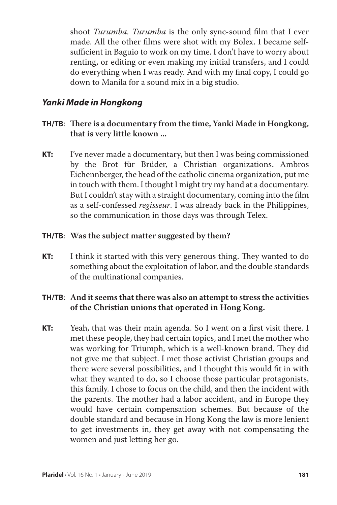shoot *Turumba. Turumba* is the only sync-sound film that I ever made. All the other films were shot with my Bolex. I became selfsufficient in Baguio to work on my time. I don't have to worry about renting, or editing or even making my initial transfers, and I could do everything when I was ready. And with my final copy, I could go down to Manila for a sound mix in a big studio.

# *Yanki Made in Hongkong*

- **TH/TB**: **There is a documentary from the time, Yanki Made in Hongkong, that is very little known ...**
- **KT:** I've never made a documentary, but then I was being commissioned by the Brot für Brüder, a Christian organizations. Ambros Eichennberger, the head of the catholic cinema organization, put me in touch with them. I thought I might try my hand at a documentary. But I couldn't stay with a straight documentary, coming into the film as a self-confessed *regisseur*. I was already back in the Philippines, so the communication in those days was through Telex.

## **TH/TB**: **Was the subject matter suggested by them?**

**KT:** I think it started with this very generous thing. They wanted to do something about the exploitation of labor, and the double standards of the multinational companies.

# **TH/TB**: **And it seems that there was also an attempt to stress the activities of the Christian unions that operated in Hong Kong.**

**KT:** Yeah, that was their main agenda. So I went on a first visit there. I met these people, they had certain topics, and I met the mother who was working for Triumph, which is a well-known brand. They did not give me that subject. I met those activist Christian groups and there were several possibilities, and I thought this would fit in with what they wanted to do, so I choose those particular protagonists, this family. I chose to focus on the child, and then the incident with the parents. The mother had a labor accident, and in Europe they would have certain compensation schemes. But because of the double standard and because in Hong Kong the law is more lenient to get investments in, they get away with not compensating the women and just letting her go.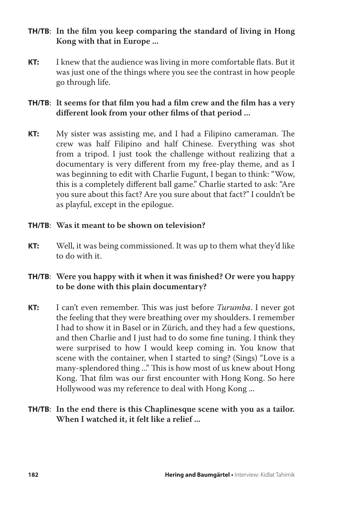# **TH/TB**: **In the film you keep comparing the standard of living in Hong Kong with that in Europe ...**

**KT:** I knew that the audience was living in more comfortable flats. But it was just one of the things where you see the contrast in how people go through life.

# **TH/TB**: **It seems for that film you had a film crew and the film has a very different look from your other films of that period ...**

**KT:** My sister was assisting me, and I had a Filipino cameraman. The crew was half Filipino and half Chinese. Everything was shot from a tripod. I just took the challenge without realizing that a documentary is very different from my free-play theme, and as I was beginning to edit with Charlie Fugunt, I began to think: "Wow, this is a completely different ball game." Charlie started to ask: "Are you sure about this fact? Are you sure about that fact?" I couldn't be as playful, except in the epilogue.

## **TH/TB**: **Was it meant to be shown on television?**

**KT:** Well, it was being commissioned. It was up to them what they'd like to do with it.

# **TH/TB**: **Were you happy with it when it was finished? Or were you happy to be done with this plain documentary?**

**KT:** I can't even remember. This was just before *Turumba*. I never got the feeling that they were breathing over my shoulders. I remember I had to show it in Basel or in Zürich, and they had a few questions, and then Charlie and I just had to do some fine tuning. I think they were surprised to how I would keep coming in. You know that scene with the container, when I started to sing? (Sings) "Love is a many-splendored thing ..." This is how most of us knew about Hong Kong. That film was our first encounter with Hong Kong. So here Hollywood was my reference to deal with Hong Kong ...

## **TH/TB**: **In the end there is this Chaplinesque scene with you as a tailor. When I watched it, it felt like a relief ...**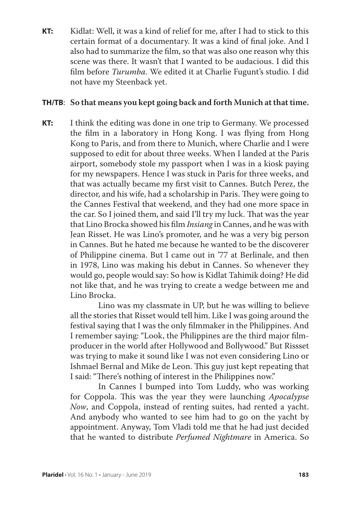**KT:** Kidlat: Well, it was a kind of relief for me, after I had to stick to this certain format of a documentary. It was a kind of final joke. And I also had to summarize the film, so that was also one reason why this scene was there. It wasn't that I wanted to be audacious. I did this film before *Turumba*. We edited it at Charlie Fugunt's studio. I did not have my Steenback yet.

#### **TH/TB**: **So that means you kept going back and forth Munich at that time.**

**KT:** I think the editing was done in one trip to Germany. We processed the film in a laboratory in Hong Kong. I was flying from Hong Kong to Paris, and from there to Munich, where Charlie and I were supposed to edit for about three weeks. When I landed at the Paris airport, somebody stole my passport when I was in a kiosk paying for my newspapers. Hence I was stuck in Paris for three weeks, and that was actually became my first visit to Cannes. Butch Perez, the director, and his wife, had a scholarship in Paris. They were going to the Cannes Festival that weekend, and they had one more space in the car. So I joined them, and said I'll try my luck. That was the year that Lino Brocka showed his film *Insiang* in Cannes, and he was with Jean Risset. He was Lino's promoter, and he was a very big person in Cannes. But he hated me because he wanted to be the discoverer of Philippine cinema. But I came out in '77 at Berlinale, and then in 1978, Lino was making his debut in Cannes. So whenever they would go, people would say: So how is Kidlat Tahimik doing? He did not like that, and he was trying to create a wedge between me and Lino Brocka.

> Lino was my classmate in UP, but he was willing to believe all the stories that Risset would tell him. Like I was going around the festival saying that I was the only filmmaker in the Philippines. And I remember saying: "Look, the Philippines are the third major filmproducer in the world after Hollywood and Bollywood." But Rissset was trying to make it sound like I was not even considering Lino or Ishmael Bernal and Mike de Leon. This guy just kept repeating that I said: "There's nothing of interest in the Philippines now."

> In Cannes I bumped into Tom Luddy, who was working for Coppola. This was the year they were launching *Apocalypse Now*, and Coppola, instead of renting suites, had rented a yacht. And anybody who wanted to see him had to go on the yacht by appointment. Anyway, Tom Vladi told me that he had just decided that he wanted to distribute *Perfumed Nightmare* in America. So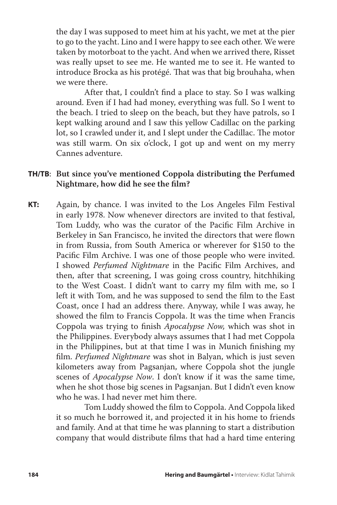the day I was supposed to meet him at his yacht, we met at the pier to go to the yacht. Lino and I were happy to see each other. We were taken by motorboat to the yacht. And when we arrived there, Risset was really upset to see me. He wanted me to see it. He wanted to introduce Brocka as his protégé. That was that big brouhaha, when we were there.

 After that, I couldn't find a place to stay. So I was walking around. Even if I had had money, everything was full. So I went to the beach. I tried to sleep on the beach, but they have patrols, so I kept walking around and I saw this yellow Cadillac on the parking lot, so I crawled under it, and I slept under the Cadillac. The motor was still warm. On six o'clock, I got up and went on my merry Cannes adventure.

## **TH/TB**: **But since you've mentioned Coppola distributing the Perfumed Nightmare, how did he see the film?**

**KT:** Again, by chance. I was invited to the Los Angeles Film Festival in early 1978. Now whenever directors are invited to that festival, Tom Luddy, who was the curator of the Pacific Film Archive in Berkeley in San Francisco, he invited the directors that were flown in from Russia, from South America or wherever for \$150 to the Pacific Film Archive. I was one of those people who were invited. I showed *Perfumed Nightmare* in the Pacific Film Archives, and then, after that screening, I was going cross country, hitchhiking to the West Coast. I didn't want to carry my film with me, so I left it with Tom, and he was supposed to send the film to the East Coast, once I had an address there. Anyway, while I was away, he showed the film to Francis Coppola. It was the time when Francis Coppola was trying to finish *Apocalypse Now,* which was shot in the Philippines. Everybody always assumes that I had met Coppola in the Philippines, but at that time I was in Munich finishing my film. *Perfumed Nightmare* was shot in Balyan, which is just seven kilometers away from Pagsanjan, where Coppola shot the jungle scenes of *Apocalypse Now*. I don't know if it was the same time, when he shot those big scenes in Pagsanjan. But I didn't even know who he was. I had never met him there.

 Tom Luddy showed the film to Coppola. And Coppola liked it so much he borrowed it, and projected it in his home to friends and family. And at that time he was planning to start a distribution company that would distribute films that had a hard time entering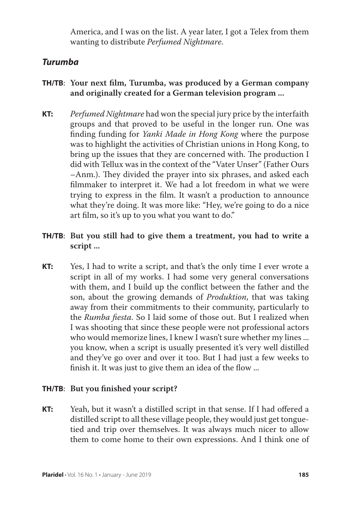America, and I was on the list. A year later, I got a Telex from them wanting to distribute *Perfumed Nightmare*.

# *Turumba*

- **TH/TB**: **Your next film, Turumba, was produced by a German company and originally created for a German television program ...**
- **KT:** *Perfumed Nightmare* had won the special jury price by the interfaith groups and that proved to be useful in the longer run. One was finding funding for *Yanki Made in Hong Kong* where the purpose was to highlight the activities of Christian unions in Hong Kong, to bring up the issues that they are concerned with. The production I did with Tellux was in the context of the "Vater Unser" (Father Ours –Anm.). They divided the prayer into six phrases, and asked each filmmaker to interpret it. We had a lot freedom in what we were trying to express in the film. It wasn't a production to announce what they're doing. It was more like: "Hey, we're going to do a nice art film, so it's up to you what you want to do."
- **TH/TB**: **But you still had to give them a treatment, you had to write a script ...**
- **KT:** Yes, I had to write a script, and that's the only time I ever wrote a script in all of my works. I had some very general conversations with them, and I build up the conflict between the father and the son, about the growing demands of *Produktion*, that was taking away from their commitments to their community, particularly to the *Rumba fiesta.* So I laid some of those out. But I realized when I was shooting that since these people were not professional actors who would memorize lines, I knew I wasn't sure whether my lines ... you know, when a script is usually presented it's very well distilled and they've go over and over it too. But I had just a few weeks to finish it. It was just to give them an idea of the flow ...

## **TH/TB**: **But you finished your script?**

**KT:** Yeah, but it wasn't a distilled script in that sense. If I had offered a distilled script to all these village people, they would just get tonguetied and trip over themselves. It was always much nicer to allow them to come home to their own expressions. And I think one of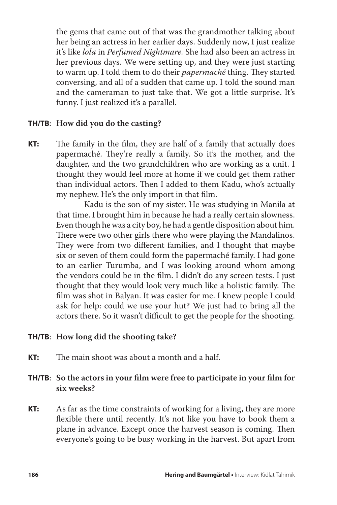the gems that came out of that was the grandmother talking about her being an actress in her earlier days. Suddenly now, I just realize it's like *lola* in *Perfumed Nightmare.* She had also been an actress in her previous days. We were setting up, and they were just starting to warm up. I told them to do their *papermaché* thing. They started conversing, and all of a sudden that came up. I told the sound man and the cameraman to just take that. We got a little surprise. It's funny. I just realized it's a parallel.

## **TH/TB**: **How did you do the casting?**

**KT:** The family in the film, they are half of a family that actually does papermaché. They're really a family. So it's the mother, and the daughter, and the two grandchildren who are working as a unit. I thought they would feel more at home if we could get them rather than individual actors. Then I added to them Kadu, who's actually my nephew. He's the only import in that film.

> Kadu is the son of my sister. He was studying in Manila at that time. I brought him in because he had a really certain slowness. Even though he was a city boy, he had a gentle disposition about him. There were two other girls there who were playing the Mandalinos. They were from two different families, and I thought that maybe six or seven of them could form the papermaché family. I had gone to an earlier Turumba, and I was looking around whom among the vendors could be in the film. I didn't do any screen tests. I just thought that they would look very much like a holistic family. The film was shot in Balyan. It was easier for me. I knew people I could ask for help: could we use your hut? We just had to bring all the actors there. So it wasn't difficult to get the people for the shooting.

#### **TH/TB**: **How long did the shooting take?**

**KT:** The main shoot was about a month and a half.

# **TH/TB**: **So the actors in your film were free to participate in your film for six weeks?**

**KT:** As far as the time constraints of working for a living, they are more flexible there until recently. It's not like you have to book them a plane in advance. Except once the harvest season is coming. Then everyone's going to be busy working in the harvest. But apart from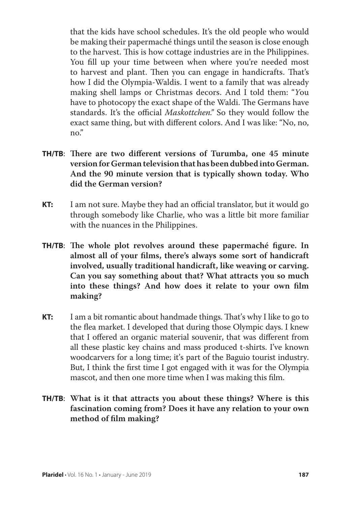that the kids have school schedules. It's the old people who would be making their papermaché things until the season is close enough to the harvest. This is how cottage industries are in the Philippines. You fill up your time between when where you're needed most to harvest and plant. Then you can engage in handicrafts. That's how I did the Olympia-Waldis. I went to a family that was already making shell lamps or Christmas decors. And I told them: "*Y*ou have to photocopy the exact shape of the Waldi. The Germans have standards. It's the official *Maskottchen."* So they would follow the exact same thing, but with different colors. And I was like: "No, no, no."

- **TH/TB**: **There are two different versions of Turumba, one 45 minute version for German television that has been dubbed into German. And the 90 minute version that is typically shown today. Who did the German version?**
- **KT:** I am not sure. Maybe they had an official translator, but it would go through somebody like Charlie, who was a little bit more familiar with the nuances in the Philippines.
- **TH/TB**: **The whole plot revolves around these papermaché figure. In almost all of your films, there's always some sort of handicraft involved, usually traditional handicraft, like weaving or carving. Can you say something about that? What attracts you so much into these things? And how does it relate to your own film making?**
- **KT:** I am a bit romantic about handmade things. That's why I like to go to the flea market. I developed that during those Olympic days. I knew that I offered an organic material souvenir, that was different from all these plastic key chains and mass produced t-shirts. I've known woodcarvers for a long time; it's part of the Baguio tourist industry. But, I think the first time I got engaged with it was for the Olympia mascot, and then one more time when I was making this film.
- **TH/TB**: **What is it that attracts you about these things? Where is this fascination coming from? Does it have any relation to your own method of film making?**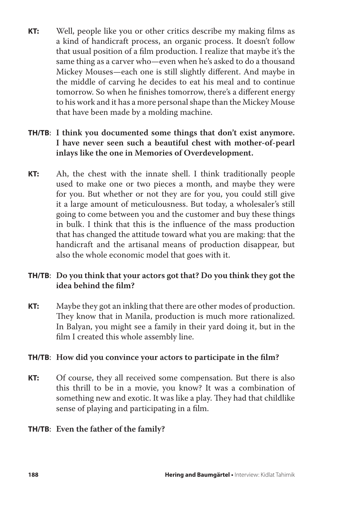**KT:** Well, people like you or other critics describe my making films as a kind of handicraft process, an organic process. It doesn't follow that usual position of a film production. I realize that maybe it's the same thing as a carver who—even when he's asked to do a thousand Mickey Mouses—each one is still slightly different. And maybe in the middle of carving he decides to eat his meal and to continue tomorrow. So when he finishes tomorrow, there's a different energy to his work and it has a more personal shape than the Mickey Mouse that have been made by a molding machine.

# **TH/TB**: **I think you documented some things that don't exist anymore. I have never seen such a beautiful chest with mother-of-pearl inlays like the one in Memories of Overdevelopment.**

**KT:** Ah, the chest with the innate shell. I think traditionally people used to make one or two pieces a month, and maybe they were for you. But whether or not they are for you, you could still give it a large amount of meticulousness. But today, a wholesaler's still going to come between you and the customer and buy these things in bulk. I think that this is the influence of the mass production that has changed the attitude toward what you are making: that the handicraft and the artisanal means of production disappear, but also the whole economic model that goes with it.

# **TH/TB**: **Do you think that your actors got that? Do you think they got the idea behind the film?**

**KT:** Maybe they got an inkling that there are other modes of production. They know that in Manila, production is much more rationalized. In Balyan, you might see a family in their yard doing it, but in the film I created this whole assembly line.

## **TH/TB**: **How did you convince your actors to participate in the film?**

**KT:** Of course, they all received some compensation. But there is also this thrill to be in a movie, you know? It was a combination of something new and exotic. It was like a play. They had that childlike sense of playing and participating in a film.

# **TH/TB**: **Even the father of the family?**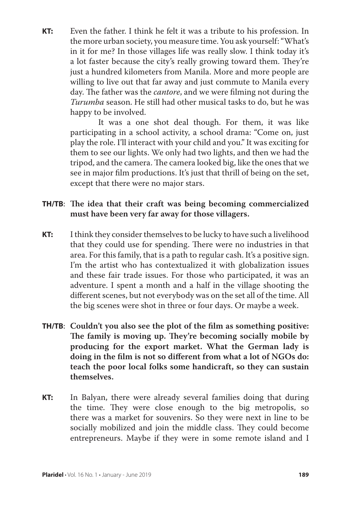**KT:** Even the father. I think he felt it was a tribute to his profession. In the more urban society, you measure time. You ask yourself: "What's in it for me? In those villages life was really slow. I think today it's a lot faster because the city's really growing toward them. They're just a hundred kilometers from Manila. More and more people are willing to live out that far away and just commute to Manila every day. The father was the *cantore*, and we were filming not during the *Turumba* season. He still had other musical tasks to do, but he was happy to be involved.

> It was a one shot deal though. For them, it was like participating in a school activity, a school drama: "Come on, just play the role. I'll interact with your child and you." It was exciting for them to see our lights. We only had two lights, and then we had the tripod, and the camera. The camera looked big, like the ones that we see in major film productions. It's just that thrill of being on the set, except that there were no major stars.

# **TH/TB**: **The idea that their craft was being becoming commercialized must have been very far away for those villagers.**

- **KT:** I think they consider themselves to be lucky to have such a livelihood that they could use for spending. There were no industries in that area. For this family, that is a path to regular cash. It's a positive sign. I'm the artist who has contextualized it with globalization issues and these fair trade issues. For those who participated, it was an adventure. I spent a month and a half in the village shooting the different scenes, but not everybody was on the set all of the time. All the big scenes were shot in three or four days. Or maybe a week.
- **TH/TB**: **Couldn't you also see the plot of the film as something positive: The family is moving up. They're becoming socially mobile by producing for the export market. What the German lady is doing in the film is not so different from what a lot of NGOs do: teach the poor local folks some handicraft, so they can sustain themselves.**
- **KT:** In Balyan, there were already several families doing that during the time. They were close enough to the big metropolis, so there was a market for souvenirs. So they were next in line to be socially mobilized and join the middle class. They could become entrepreneurs. Maybe if they were in some remote island and I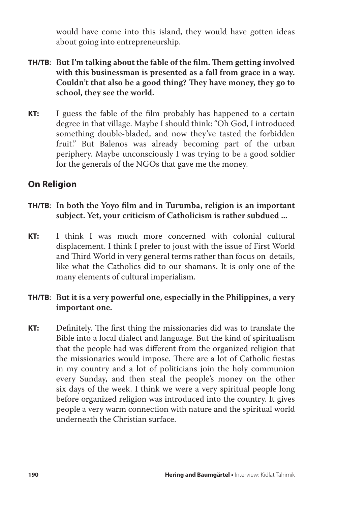would have come into this island, they would have gotten ideas about going into entrepreneurship.

- **TH/TB**: **But I'm talking about the fable of the film. Them getting involved with this businessman is presented as a fall from grace in a way. Couldn't that also be a good thing? They have money, they go to school, they see the world.**
- **KT:** I guess the fable of the film probably has happened to a certain degree in that village. Maybe I should think: "Oh God, I introduced something double-bladed, and now they've tasted the forbidden fruit." But Balenos was already becoming part of the urban periphery. Maybe unconsciously I was trying to be a good soldier for the generals of the NGOs that gave me the money.

# **On Religion**

- **TH/TB**: **In both the Yoyo film and in Turumba, religion is an important subject. Yet, your criticism of Catholicism is rather subdued ...**
- **KT:** I think I was much more concerned with colonial cultural displacement. I think I prefer to joust with the issue of First World and Third World in very general terms rather than focus on details, like what the Catholics did to our shamans. It is only one of the many elements of cultural imperialism.

# **TH/TB**: **But it is a very powerful one, especially in the Philippines, a very important one.**

**KT:** Definitely. The first thing the missionaries did was to translate the Bible into a local dialect and language. But the kind of spiritualism that the people had was different from the organized religion that the missionaries would impose. There are a lot of Catholic fiestas in my country and a lot of politicians join the holy communion every Sunday, and then steal the people's money on the other six days of the week. I think we were a very spiritual people long before organized religion was introduced into the country. It gives people a very warm connection with nature and the spiritual world underneath the Christian surface.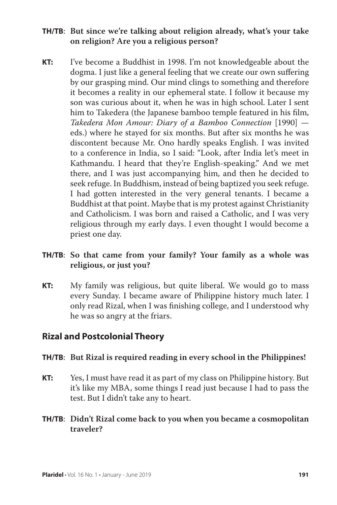- **TH/TB**: **But since we're talking about religion already, what's your take on religion? Are you a religious person?**
- **KT:** I've become a Buddhist in 1998. I'm not knowledgeable about the dogma. I just like a general feeling that we create our own suffering by our grasping mind. Our mind clings to something and therefore it becomes a reality in our ephemeral state. I follow it because my son was curious about it, when he was in high school. Later I sent him to Takedera (the Japanese bamboo temple featured in his film, *Takedera Mon Amour: Diary of a Bamboo Connection* [1990] eds.) where he stayed for six months. But after six months he was discontent because Mr. Ono hardly speaks English. I was invited to a conference in India, so I said: "Look, after India let's meet in Kathmandu. I heard that they're English-speaking." And we met there, and I was just accompanying him, and then he decided to seek refuge. In Buddhism, instead of being baptized you seek refuge. I had gotten interested in the very general tenants. I became a Buddhist at that point. Maybe that is my protest against Christianity and Catholicism. I was born and raised a Catholic, and I was very religious through my early days. I even thought I would become a priest one day.

## **TH/TB**: **So that came from your family? Your family as a whole was religious, or just you?**

**KT:** My family was religious, but quite liberal. We would go to mass every Sunday. I became aware of Philippine history much later. I only read Rizal, when I was finishing college, and I understood why he was so angry at the friars.

# **Rizal and Postcolonial Theory**

#### **TH/TB**: **But Rizal is required reading in every school in the Philippines!**

- **KT:** Yes, I must have read it as part of my class on Philippine history. But it's like my MBA, some things I read just because I had to pass the test. But I didn't take any to heart.
- **TH/TB**: **Didn't Rizal come back to you when you became a cosmopolitan traveler?**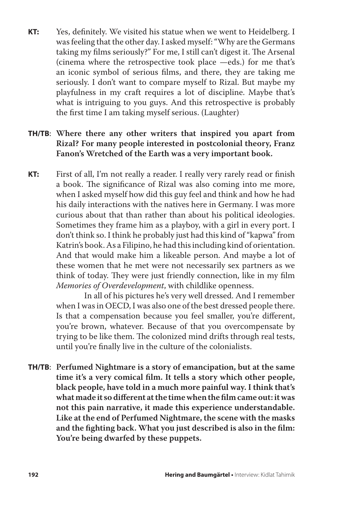**KT:** Yes, definitely. We visited his statue when we went to Heidelberg. I was feeling that the other day. I asked myself: "Why are the Germans taking my films seriously?" For me, I still can't digest it. The Arsenal (cinema where the retrospective took place —eds.) for me that's an iconic symbol of serious films, and there, they are taking me seriously. I don't want to compare myself to Rizal. But maybe my playfulness in my craft requires a lot of discipline. Maybe that's what is intriguing to you guys. And this retrospective is probably the first time I am taking myself serious. (Laughter)

## **TH/TB**: **Where there any other writers that inspired you apart from Rizal? For many people interested in postcolonial theory, Franz Fanon's Wretched of the Earth was a very important book.**

**KT:** First of all, I'm not really a reader. I really very rarely read or finish a book. The significance of Rizal was also coming into me more, when I asked myself how did this guy feel and think and how he had his daily interactions with the natives here in Germany. I was more curious about that than rather than about his political ideologies. Sometimes they frame him as a playboy, with a girl in every port. I don't think so. I think he probably just had this kind of "kapwa" from Katrin's book. As a Filipino, he had this including kind of orientation. And that would make him a likeable person. And maybe a lot of these women that he met were not necessarily sex partners as we think of today. They were just friendly connection, like in my film *Memories of Overdevelopment*, with childlike openness.

> In all of his pictures he's very well dressed. And I remember when I was in OECD, I was also one of the best dressed people there. Is that a compensation because you feel smaller, you're different, you're brown, whatever. Because of that you overcompensate by trying to be like them. The colonized mind drifts through real tests, until you're finally live in the culture of the colonialists.

**TH/TB**: **Perfumed Nightmare is a story of emancipation, but at the same time it's a very comical film. It tells a story which other people, black people, have told in a much more painful way. I think that's what made it so different at the time when the film came out: it was not this pain narrative, it made this experience understandable. Like at the end of Perfumed Nightmare, the scene with the masks and the fighting back. What you just described is also in the film: You're being dwarfed by these puppets.**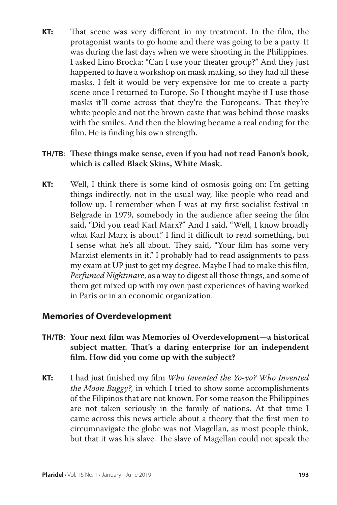**KT:** That scene was very different in my treatment. In the film, the protagonist wants to go home and there was going to be a party. It was during the last days when we were shooting in the Philippines. I asked Lino Brocka: "Can I use your theater group?" And they just happened to have a workshop on mask making, so they had all these masks. I felt it would be very expensive for me to create a party scene once I returned to Europe. So I thought maybe if I use those masks it'll come across that they're the Europeans. That they're white people and not the brown caste that was behind those masks with the smiles. And then the blowing became a real ending for the film. He is finding his own strength.

# **TH/TB**: **These things make sense, even if you had not read Fanon's book, which is called Black Skins, White Mask.**

**KT:** Well, I think there is some kind of osmosis going on: I'm getting things indirectly, not in the usual way, like people who read and follow up. I remember when I was at my first socialist festival in Belgrade in 1979, somebody in the audience after seeing the film said, "Did you read Karl Marx?" And I said, "Well, I know broadly what Karl Marx is about." I find it difficult to read something, but I sense what he's all about. They said, "Your film has some very Marxist elements in it." I probably had to read assignments to pass my exam at UP just to get my degree. Maybe I had to make this film, *Perfumed Nightmare*, as a way to digest all those things, and some of them get mixed up with my own past experiences of having worked in Paris or in an economic organization.

# **Memories of Overdevelopment**

- **TH/TB**: **Your next film was Memories of Overdevelopment—a historical subject matter. That's a daring enterprise for an independent film. How did you come up with the subject?**
- **KT:** I had just finished my film *Who Invented the Yo-yo? Who Invented the Moon Buggy?,* in which I tried to show some accomplishments of the Filipinos that are not known. For some reason the Philippines are not taken seriously in the family of nations. At that time I came across this news article about a theory that the first men to circumnavigate the globe was not Magellan, as most people think, but that it was his slave. The slave of Magellan could not speak the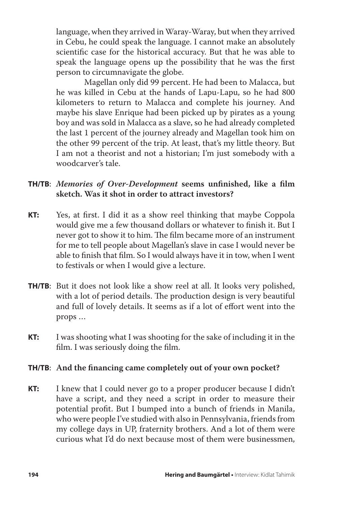language, when they arrived in Waray-Waray, but when they arrived in Cebu, he could speak the language. I cannot make an absolutely scientific case for the historical accuracy. But that he was able to speak the language opens up the possibility that he was the first person to circumnavigate the globe.

 Magellan only did 99 percent. He had been to Malacca, but he was killed in Cebu at the hands of Lapu-Lapu, so he had 800 kilometers to return to Malacca and complete his journey. And maybe his slave Enrique had been picked up by pirates as a young boy and was sold in Malacca as a slave, so he had already completed the last 1 percent of the journey already and Magellan took him on the other 99 percent of the trip. At least, that's my little theory. But I am not a theorist and not a historian; I'm just somebody with a woodcarver's tale.

# **TH/TB**: *Memories of Over-Development* **seems unfinished, like a film sketch. Was it shot in order to attract investors?**

- **KT:** Yes, at first. I did it as a show reel thinking that maybe Coppola would give me a few thousand dollars or whatever to finish it. But I never got to show it to him. The film became more of an instrument for me to tell people about Magellan's slave in case I would never be able to finish that film. So I would always have it in tow, when I went to festivals or when I would give a lecture.
- **TH/TB**: But it does not look like a show reel at all. It looks very polished, with a lot of period details. The production design is very beautiful and full of lovely details. It seems as if a lot of effort went into the props …
- **KT:** I was shooting what I was shooting for the sake of including it in the film. I was seriously doing the film.

## **TH/TB**: **And the financing came completely out of your own pocket?**

**KT:** I knew that I could never go to a proper producer because I didn't have a script, and they need a script in order to measure their potential profit. But I bumped into a bunch of friends in Manila, who were people I've studied with also in Pennsylvania, friends from my college days in UP, fraternity brothers. And a lot of them were curious what I'd do next because most of them were businessmen,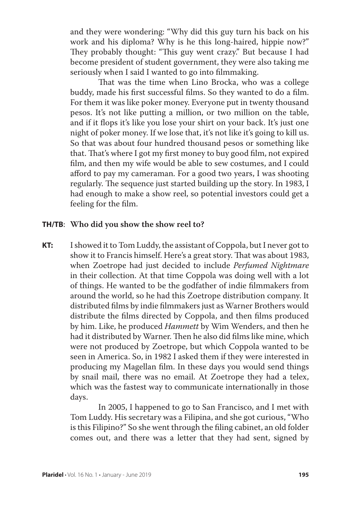and they were wondering: "Why did this guy turn his back on his work and his diploma? Why is he this long-haired, hippie now?" They probably thought: "This guy went crazy." But because I had become president of student government, they were also taking me seriously when I said I wanted to go into filmmaking.

 That was the time when Lino Brocka, who was a college buddy, made his first successful films. So they wanted to do a film. For them it was like poker money. Everyone put in twenty thousand pesos. It's not like putting a million, or two million on the table, and if it flops it's like you lose your shirt on your back. It's just one night of poker money. If we lose that, it's not like it's going to kill us. So that was about four hundred thousand pesos or something like that. That's where I got my first money to buy good film, not expired film, and then my wife would be able to sew costumes, and I could afford to pay my cameraman. For a good two years, I was shooting regularly. The sequence just started building up the story. In 1983, I had enough to make a show reel, so potential investors could get a feeling for the film.

#### **TH/TB**: **Who did you show the show reel to?**

**KT:** I showed it to Tom Luddy, the assistant of Coppola, but I never got to show it to Francis himself. Here's a great story. That was about 1983, when Zoetrope had just decided to include *Perfumed Nightmare* in their collection. At that time Coppola was doing well with a lot of things. He wanted to be the godfather of indie filmmakers from around the world, so he had this Zoetrope distribution company. It distributed films by indie filmmakers just as Warner Brothers would distribute the films directed by Coppola, and then films produced by him. Like, he produced *Hammett* by Wim Wenders, and then he had it distributed by Warner. Then he also did films like mine, which were not produced by Zoetrope, but which Coppola wanted to be seen in America. So, in 1982 I asked them if they were interested in producing my Magellan film. In these days you would send things by snail mail, there was no email. At Zoetrope they had a telex, which was the fastest way to communicate internationally in those days.

> In 2005, I happened to go to San Francisco, and I met with Tom Luddy. His secretary was a Filipina, and she got curious, "Who is this Filipino?" So she went through the filing cabinet, an old folder comes out, and there was a letter that they had sent, signed by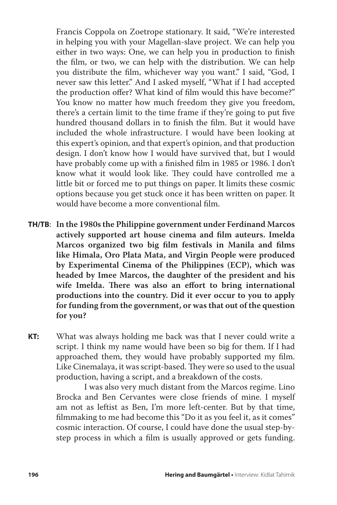Francis Coppola on Zoetrope stationary. It said, "We're interested in helping you with your Magellan-slave project. We can help you either in two ways: One, we can help you in production to finish the film, or two, we can help with the distribution. We can help you distribute the film, whichever way you want." I said, "God, I never saw this letter." And I asked myself, "What if I had accepted the production offer? What kind of film would this have become?" You know no matter how much freedom they give you freedom, there's a certain limit to the time frame if they're going to put five hundred thousand dollars in to finish the film. But it would have included the whole infrastructure. I would have been looking at this expert's opinion, and that expert's opinion, and that production design. I don't know how I would have survived that, but I would have probably come up with a finished film in 1985 or 1986. I don't know what it would look like. They could have controlled me a little bit or forced me to put things on paper. It limits these cosmic options because you get stuck once it has been written on paper. It would have become a more conventional film.

**TH/TB**: **In the 1980s the Philippine government under Ferdinand Marcos actively supported art house cinema and film auteurs. Imelda Marcos organized two big film festivals in Manila and films like Himala, Oro Plata Mata, and Virgin People were produced by Experimental Cinema of the Philippines (ECP), which was headed by Imee Marcos, the daughter of the president and his wife Imelda. There was also an effort to bring international productions into the country. Did it ever occur to you to apply for funding from the government, or was that out of the question for you?**

**KT:** What was always holding me back was that I never could write a script. I think my name would have been so big for them. If I had approached them, they would have probably supported my film. Like Cinemalaya, it was script-based. They were so used to the usual production, having a script, and a breakdown of the costs.

> I was also very much distant from the Marcos regime. Lino Brocka and Ben Cervantes were close friends of mine. I myself am not as leftist as Ben, I'm more left-center. But by that time, filmmaking to me had become this "Do it as you feel it, as it comes" cosmic interaction. Of course, I could have done the usual step-bystep process in which a film is usually approved or gets funding.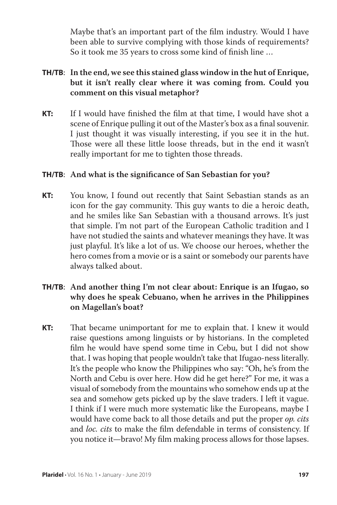Maybe that's an important part of the film industry. Would I have been able to survive complying with those kinds of requirements? So it took me 35 years to cross some kind of finish line …

# **TH/TB**: **In the end, we see this stained glass window in the hut of Enrique, but it isn't really clear where it was coming from. Could you comment on this visual metaphor?**

**KT:** If I would have finished the film at that time, I would have shot a scene of Enrique pulling it out of the Master's box as a final souvenir. I just thought it was visually interesting, if you see it in the hut. Those were all these little loose threads, but in the end it wasn't really important for me to tighten those threads.

## **TH/TB**: **And what is the significance of San Sebastian for you?**

**KT:** You know, I found out recently that Saint Sebastian stands as an icon for the gay community. This guy wants to die a heroic death, and he smiles like San Sebastian with a thousand arrows. It's just that simple. I'm not part of the European Catholic tradition and I have not studied the saints and whatever meanings they have. It was just playful. It's like a lot of us. We choose our heroes, whether the hero comes from a movie or is a saint or somebody our parents have always talked about.

# **TH/TB**: **And another thing I'm not clear about: Enrique is an Ifugao, so why does he speak Cebuano, when he arrives in the Philippines on Magellan's boat?**

**KT:** That became unimportant for me to explain that. I knew it would raise questions among linguists or by historians. In the completed film he would have spend some time in Cebu, but I did not show that. I was hoping that people wouldn't take that Ifugao-ness literally. It's the people who know the Philippines who say: "Oh, he's from the North and Cebu is over here. How did he get here?" For me, it was a visual of somebody from the mountains who somehow ends up at the sea and somehow gets picked up by the slave traders. I left it vague. I think if I were much more systematic like the Europeans, maybe I would have come back to all those details and put the proper *op. cits* and *loc. cits* to make the film defendable in terms of consistency. If you notice it—bravo! My film making process allows for those lapses.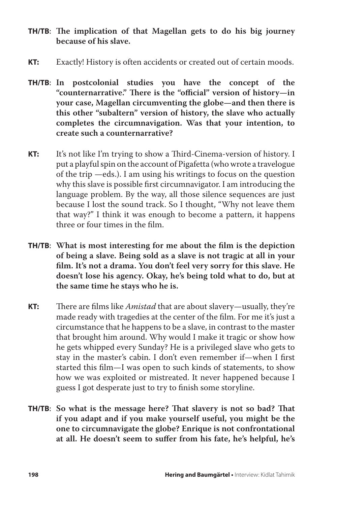- **TH/TB**: **The implication of that Magellan gets to do his big journey because of his slave.**
- **KT:** Exactly! History is often accidents or created out of certain moods.
- **TH/TB**: **In postcolonial studies you have the concept of the "counternarrative." There is the "official" version of history—in your case, Magellan circumventing the globe—and then there is this other "subaltern" version of history, the slave who actually completes the circumnavigation. Was that your intention, to create such a counternarrative?**
- **KT:** It's not like I'm trying to show a Third-Cinema-version of history. I put a playful spin on the account of Pigafetta (who wrote a travelogue of the trip —eds.). I am using his writings to focus on the question why this slave is possible first circumnavigator. I am introducing the language problem. By the way, all those silence sequences are just because I lost the sound track. So I thought, "Why not leave them that way?" I think it was enough to become a pattern, it happens three or four times in the film.
- **TH/TB**: **What is most interesting for me about the film is the depiction of being a slave. Being sold as a slave is not tragic at all in your film. It's not a drama. You don't feel very sorry for this slave. He doesn't lose his agency. Okay, he's being told what to do, but at the same time he stays who he is.**
- **KT:** There are films like *Amistad* that are about slavery—usually, they're made ready with tragedies at the center of the film. For me it's just a circumstance that he happens to be a slave, in contrast to the master that brought him around. Why would I make it tragic or show how he gets whipped every Sunday? He is a privileged slave who gets to stay in the master's cabin. I don't even remember if—when I first started this film—I was open to such kinds of statements, to show how we was exploited or mistreated. It never happened because I guess I got desperate just to try to finish some storyline.
- **TH/TB**: **So what is the message here? That slavery is not so bad? That if you adapt and if you make yourself useful, you might be the one to circumnavigate the globe? Enrique is not confrontational at all. He doesn't seem to suffer from his fate, he's helpful, he's**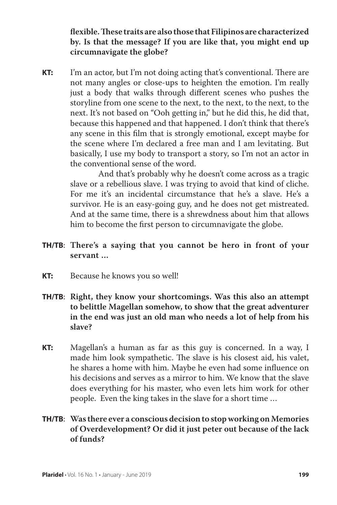**flexible. These traits are also those that Filipinos are characterized by. Is that the message? If you are like that, you might end up circumnavigate the globe?**

**KT:** I'm an actor, but I'm not doing acting that's conventional. There are not many angles or close-ups to heighten the emotion. I'm really just a body that walks through different scenes who pushes the storyline from one scene to the next, to the next, to the next, to the next. It's not based on "Ooh getting in," but he did this, he did that, because this happened and that happened. I don't think that there's any scene in this film that is strongly emotional, except maybe for the scene where I'm declared a free man and I am levitating. But basically, I use my body to transport a story, so I'm not an actor in the conventional sense of the word.

> And that's probably why he doesn't come across as a tragic slave or a rebellious slave. I was trying to avoid that kind of cliche. For me it's an incidental circumstance that he's a slave. He's a survivor. He is an easy-going guy, and he does not get mistreated. And at the same time, there is a shrewdness about him that allows him to become the first person to circumnavigate the globe.

- **TH/TB**: **There's a saying that you cannot be hero in front of your servant …**
- **KT:** Because he knows you so well!
- **TH/TB**: **Right, they know your shortcomings. Was this also an attempt to belittle Magellan somehow, to show that the great adventurer in the end was just an old man who needs a lot of help from his slave?**
- **KT:** Magellan's a human as far as this guy is concerned. In a way, I made him look sympathetic. The slave is his closest aid, his valet, he shares a home with him. Maybe he even had some influence on his decisions and serves as a mirror to him. We know that the slave does everything for his master, who even lets him work for other people. Even the king takes in the slave for a short time …

# **TH/TB**: **Was there ever a conscious decision to stop working on Memories of Overdevelopment? Or did it just peter out because of the lack of funds?**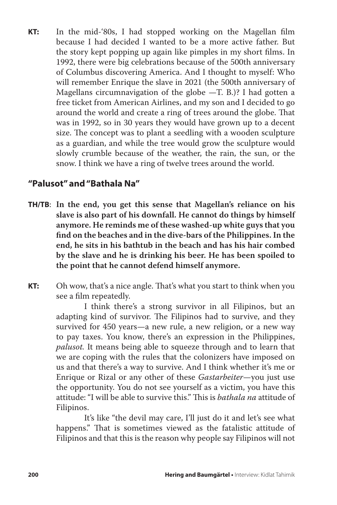**KT:** In the mid-'80s, I had stopped working on the Magellan film because I had decided I wanted to be a more active father. But the story kept popping up again like pimples in my short films. In 1992, there were big celebrations because of the 500th anniversary of Columbus discovering America. And I thought to myself: Who will remember Enrique the slave in 2021 (the 500th anniversary of Magellans circumnavigation of the globe  $-T$ . B.)? I had gotten a free ticket from American Airlines, and my son and I decided to go around the world and create a ring of trees around the globe. That was in 1992, so in 30 years they would have grown up to a decent size. The concept was to plant a seedling with a wooden sculpture as a guardian, and while the tree would grow the sculpture would slowly crumble because of the weather, the rain, the sun, or the snow. I think we have a ring of twelve trees around the world.

# **"Palusot" and "Bathala Na"**

- **TH/TB**: **In the end, you get this sense that Magellan's reliance on his slave is also part of his downfall. He cannot do things by himself anymore. He reminds me of these washed-up white guys that you find on the beaches and in the dive-bars of the Philippines. In the end, he sits in his bathtub in the beach and has his hair combed by the slave and he is drinking his beer. He has been spoiled to the point that he cannot defend himself anymore.**
- **KT:** Oh wow, that's a nice angle. That's what you start to think when you see a film repeatedly.

 I think there's a strong survivor in all Filipinos, but an adapting kind of survivor. The Filipinos had to survive, and they survived for 450 years—a new rule, a new religion, or a new way to pay taxes. You know, there's an expression in the Philippines, *palusot.* It means being able to squeeze through and to learn that we are coping with the rules that the colonizers have imposed on us and that there's a way to survive. And I think whether it's me or Enrique or Rizal or any other of these *Gastarbeiter*—you just use the opportunity. You do not see yourself as a victim, you have this attitude: "I will be able to survive this." This is *bathala na* attitude of Filipinos.

 It's like "the devil may care, I'll just do it and let's see what happens." That is sometimes viewed as the fatalistic attitude of Filipinos and that this is the reason why people say Filipinos will not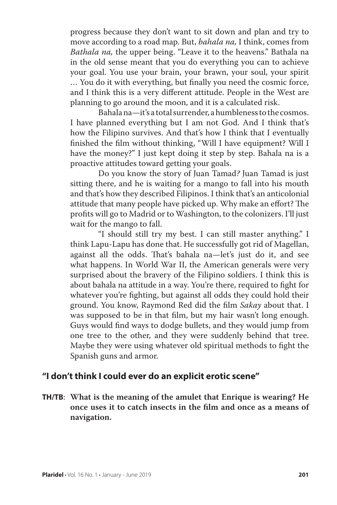progress because they don't want to sit down and plan and try to move according to a road map. But, *bahala na,* I think, comes from *Bathala na,* the upper being. "Leave it to the heavens." Bathala na in the old sense meant that you do everything you can to achieve your goal. You use your brain, your brawn, your soul, your spirit … You do it with everything, but finally you need the cosmic force, and I think this is a very different attitude. People in the West are planning to go around the moon, and it is a calculated risk.

Bahala na—it's a total surrender, a humbleness to the cosmos. I have planned everything but I am not God. And I think that's how the Filipino survives. And that's how I think that I eventually finished the film without thinking, "Will I have equipment? Will I have the money?" I just kept doing it step by step. Bahala na is a proactive attitudes toward getting your goals.

 Do you know the story of Juan Tamad*?* Juan Tamad is just sitting there, and he is waiting for a mango to fall into his mouth and that's how they described Filipinos. I think that's an anticolonial attitude that many people have picked up. Why make an effort? The profits will go to Madrid or to Washington, to the colonizers. I'll just wait for the mango to fall.

 "I should still try my best. I can still master anything." I think Lapu-Lapu has done that. He successfully got rid of Magellan, against all the odds. That's bahala na—let's just do it, and see what happens. In World War II, the American generals were very surprised about the bravery of the Filipino soldiers. I think this is about bahala na attitude in a way. You're there, required to fight for whatever you're fighting, but against all odds they could hold their ground. You know, Raymond Red did the film *Sakay* about that. I was supposed to be in that film, but my hair wasn't long enough. Guys would find ways to dodge bullets, and they would jump from one tree to the other, and they were suddenly behind that tree. Maybe they were using whatever old spiritual methods to fight the Spanish guns and armor.

# **"I don't think I could ever do an explicit erotic scene"**

**TH/TB**: **What is the meaning of the amulet that Enrique is wearing? He once uses it to catch insects in the film and once as a means of navigation.**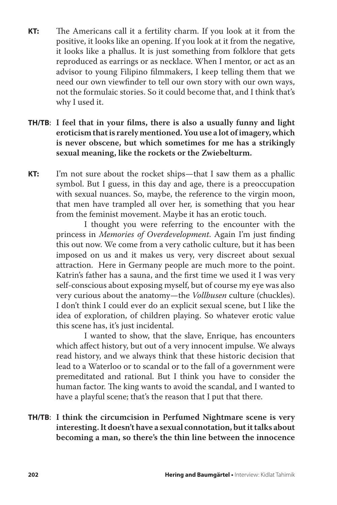- **KT:** The Americans call it a fertility charm. If you look at it from the positive, it looks like an opening. If you look at it from the negative, it looks like a phallus. It is just something from folklore that gets reproduced as earrings or as necklace. When I mentor, or act as an advisor to young Filipino filmmakers, I keep telling them that we need our own viewfinder to tell our own story with our own ways, not the formulaic stories. So it could become that, and I think that's why I used it.
- **TH/TB**: **I feel that in your films, there is also a usually funny and light eroticism that is rarely mentioned. You use a lot of imagery, which is never obscene, but which sometimes for me has a strikingly sexual meaning, like the rockets or the Zwiebelturm.**
- **KT:** I'm not sure about the rocket ships—that I saw them as a phallic symbol. But I guess, in this day and age, there is a preoccupation with sexual nuances. So, maybe, the reference to the virgin moon, that men have trampled all over her, is something that you hear from the feminist movement. Maybe it has an erotic touch.

 I thought you were referring to the encounter with the princess in *Memories of Overdevelopment*. Again I'm just finding this out now. We come from a very catholic culture, but it has been imposed on us and it makes us very, very discreet about sexual attraction. Here in Germany people are much more to the point. Katrin's father has a sauna, and the first time we used it I was very self-conscious about exposing myself, but of course my eye was also very curious about the anatomy—the *Vollbusen* culture (chuckles). I don't think I could ever do an explicit sexual scene, but I like the idea of exploration, of children playing. So whatever erotic value this scene has, it's just incidental.

 I wanted to show, that the slave, Enrique, has encounters which affect history, but out of a very innocent impulse. We always read history, and we always think that these historic decision that lead to a Waterloo or to scandal or to the fall of a government were premeditated and rational. But I think you have to consider the human factor. The king wants to avoid the scandal, and I wanted to have a playful scene; that's the reason that I put that there.

# **TH/TB**: **I think the circumcision in Perfumed Nightmare scene is very interesting. It doesn't have a sexual connotation, but it talks about becoming a man, so there's the thin line between the innocence**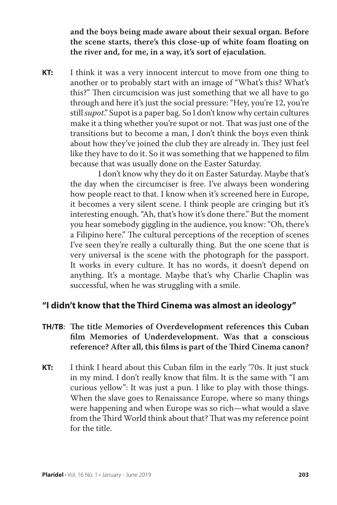**and the boys being made aware about their sexual organ. Before the scene starts, there's this close-up of white foam floating on the river and, for me, in a way, it's sort of ejaculation.**

**KT:** I think it was a very innocent intercut to move from one thing to another or to probably start with an image of "What's this? What's this?" Then circumcision was just something that we all have to go through and here it's just the social pressure: "Hey, you're 12, you're still *supot*." Supot is a paper bag. So I don't know why certain cultures make it a thing whether you're supot or not. That was just one of the transitions but to become a man, I don't think the boys even think about how they've joined the club they are already in. They just feel like they have to do it. So it was something that we happened to film because that was usually done on the Easter Saturday.

> I don't know why they do it on Easter Saturday. Maybe that's the day when the circumciser is free. I've always been wondering how people react to that. I know when it's screened here in Europe, it becomes a very silent scene. I think people are cringing but it's interesting enough. "Ah, that's how it's done there." But the moment you hear somebody giggling in the audience, you know: "Oh, there's a Filipino here." The cultural perceptions of the reception of scenes I've seen they're really a culturally thing. But the one scene that is very universal is the scene with the photograph for the passport. It works in every culture. It has no words, it doesn't depend on anything. It's a montage. Maybe that's why Charlie Chaplin was successful, when he was struggling with a smile.

# **"I didn't know that the Third Cinema was almost an ideology"**

- **TH/TB**: **The title Memories of Overdevelopment references this Cuban film Memories of Underdevelopment. Was that a conscious reference? After all, this films is part of the Third Cinema canon?**
- **KT:** I think I heard about this Cuban film in the early '70s. It just stuck in my mind. I don't really know that film. It is the same with "I am curious yellow": It was just a pun. I like to play with those things. When the slave goes to Renaissance Europe, where so many things were happening and when Europe was so rich—what would a slave from the Third World think about that? That was my reference point for the title.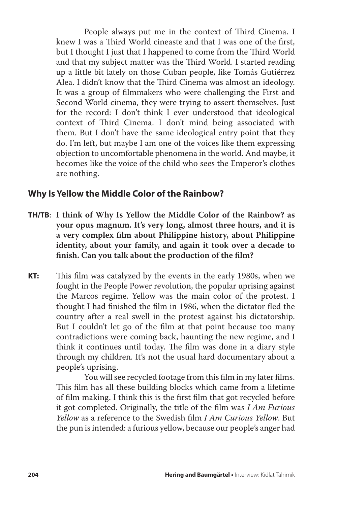People always put me in the context of Third Cinema. I knew I was a Third World cineaste and that I was one of the first, but I thought I just that I happened to come from the Third World and that my subject matter was the Third World. I started reading up a little bit lately on those Cuban people, like Tomás Gutiérrez Alea. I didn't know that the Third Cinema was almost an ideology. It was a group of filmmakers who were challenging the First and Second World cinema, they were trying to assert themselves. Just for the record: I don't think I ever understood that ideological context of Third Cinema. I don't mind being associated with them. But I don't have the same ideological entry point that they do. I'm left, but maybe I am one of the voices like them expressing objection to uncomfortable phenomena in the world. And maybe, it becomes like the voice of the child who sees the Emperor's clothes are nothing.

# **Why Is Yellow the Middle Color of the Rainbow?**

- **TH/TB**: **I think of Why Is Yellow the Middle Color of the Rainbow? as your opus magnum. It's very long, almost three hours, and it is a very complex film about Philippine history, about Philippine identity, about your family, and again it took over a decade to finish. Can you talk about the production of the film?**
- **KT:** This film was catalyzed by the events in the early 1980s, when we fought in the People Power revolution, the popular uprising against the Marcos regime. Yellow was the main color of the protest. I thought I had finished the film in 1986, when the dictator fled the country after a real swell in the protest against his dictatorship. But I couldn't let go of the film at that point because too many contradictions were coming back, haunting the new regime, and I think it continues until today. The film was done in a diary style through my children. It's not the usual hard documentary about a people's uprising.

 You will see recycled footage from this film in my later films. This film has all these building blocks which came from a lifetime of film making. I think this is the first film that got recycled before it got completed. Originally, the title of the film was *I Am Furious Yellow* as a reference to the Swedish film *I Am Curious Yellow*. But the pun is intended: a furious yellow, because our people's anger had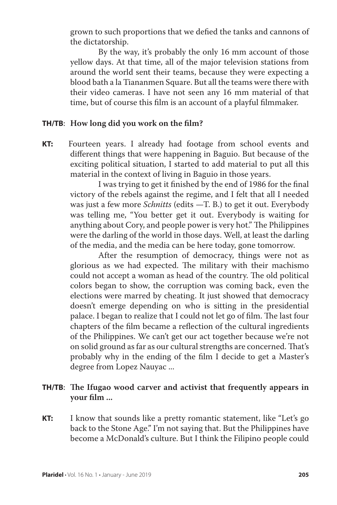grown to such proportions that we defied the tanks and cannons of the dictatorship.

 By the way, it's probably the only 16 mm account of those yellow days. At that time, all of the major television stations from around the world sent their teams, because they were expecting a blood bath a la Tiananmen Square. But all the teams were there with their video cameras. I have not seen any 16 mm material of that time, but of course this film is an account of a playful filmmaker.

#### **TH/TB**: **How long did you work on the film?**

**KT:** Fourteen years. I already had footage from school events and different things that were happening in Baguio. But because of the exciting political situation, I started to add material to put all this material in the context of living in Baguio in those years.

> I was trying to get it finished by the end of 1986 for the final victory of the rebels against the regime, and I felt that all I needed was just a few more *Schnitts* (edits —T. B.) to get it out. Everybody was telling me, "You better get it out. Everybody is waiting for anything about Cory, and people power is very hot." The Philippines were the darling of the world in those days. Well, at least the darling of the media, and the media can be here today, gone tomorrow.

> After the resumption of democracy, things were not as glorious as we had expected. The military with their machismo could not accept a woman as head of the country. The old political colors began to show, the corruption was coming back, even the elections were marred by cheating. It just showed that democracy doesn't emerge depending on who is sitting in the presidential palace. I began to realize that I could not let go of film. The last four chapters of the film became a reflection of the cultural ingredients of the Philippines. We can't get our act together because we're not on solid ground as far as our cultural strengths are concerned. That's probably why in the ending of the film I decide to get a Master's degree from Lopez Nauyac ...

## **TH/TB**: **The Ifugao wood carver and activist that frequently appears in your film ...**

**KT:** I know that sounds like a pretty romantic statement, like "Let's go back to the Stone Age." I'm not saying that. But the Philippines have become a McDonald's culture. But I think the Filipino people could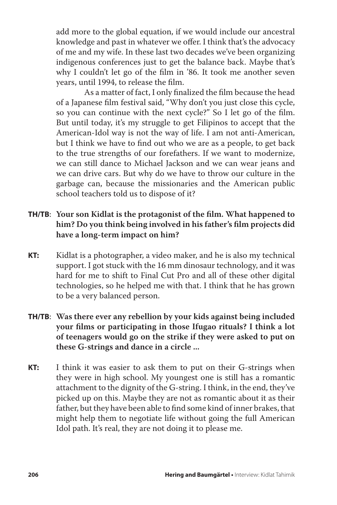add more to the global equation, if we would include our ancestral knowledge and past in whatever we offer. I think that's the advocacy of me and my wife. In these last two decades we've been organizing indigenous conferences just to get the balance back. Maybe that's why I couldn't let go of the film in '86. It took me another seven years, until 1994, to release the film.

 As a matter of fact, I only finalized the film because the head of a Japanese film festival said, "Why don't you just close this cycle, so you can continue with the next cycle?" So I let go of the film. But until today, it's my struggle to get Filipinos to accept that the American-Idol way is not the way of life. I am not anti-American, but I think we have to find out who we are as a people, to get back to the true strengths of our forefathers. If we want to modernize, we can still dance to Michael Jackson and we can wear jeans and we can drive cars. But why do we have to throw our culture in the garbage can, because the missionaries and the American public school teachers told us to dispose of it?

# **TH/TB**: **Your son Kidlat is the protagonist of the film. What happened to him? Do you think being involved in his father's film projects did have a long-term impact on him?**

- **KT:** Kidlat is a photographer, a video maker, and he is also my technical support. I got stuck with the 16 mm dinosaur technology, and it was hard for me to shift to Final Cut Pro and all of these other digital technologies, so he helped me with that. I think that he has grown to be a very balanced person.
- **TH/TB**: **Was there ever any rebellion by your kids against being included your films or participating in those Ifugao rituals? I think a lot of teenagers would go on the strike if they were asked to put on these G-strings and dance in a circle ...**
- **KT:** I think it was easier to ask them to put on their G-strings when they were in high school. My youngest one is still has a romantic attachment to the dignity of the G-string. I think, in the end, they've picked up on this. Maybe they are not as romantic about it as their father, but they have been able to find some kind of inner brakes, that might help them to negotiate life without going the full American Idol path. It's real, they are not doing it to please me.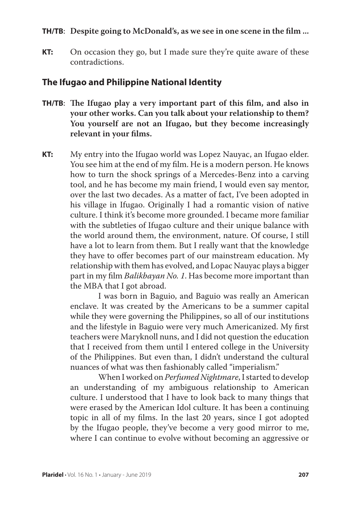#### **TH/TB**: **Despite going to McDonald's, as we see in one scene in the film ...**

**KT:** On occasion they go, but I made sure they're quite aware of these contradictions.

## **The Ifugao and Philippine National Identity**

- **TH/TB**: **The Ifugao play a very important part of this film, and also in your other works. Can you talk about your relationship to them? You yourself are not an Ifugao, but they become increasingly relevant in your films.**
- **KT:** My entry into the Ifugao world was Lopez Nauyac, an Ifugao elder. You see him at the end of my film. He is a modern person. He knows how to turn the shock springs of a Mercedes-Benz into a carving tool, and he has become my main friend, I would even say mentor, over the last two decades. As a matter of fact, I've been adopted in his village in Ifugao. Originally I had a romantic vision of native culture. I think it's become more grounded. I became more familiar with the subtleties of Ifugao culture and their unique balance with the world around them, the environment, nature. Of course, I still have a lot to learn from them. But I really want that the knowledge they have to offer becomes part of our mainstream education. My relationship with them has evolved, and Lopac Nauyac plays a bigger part in my film *Balikbayan No. 1*. Has become more important than the MBA that I got abroad.

 I was born in Baguio, and Baguio was really an American enclave. It was created by the Americans to be a summer capital while they were governing the Philippines, so all of our institutions and the lifestyle in Baguio were very much Americanized. My first teachers were Maryknoll nuns, and I did not question the education that I received from them until I entered college in the University of the Philippines. But even than, I didn't understand the cultural nuances of what was then fashionably called "imperialism."

 When I worked on *Perfumed Nightmare*, I started to develop an understanding of my ambiguous relationship to American culture. I understood that I have to look back to many things that were erased by the American Idol culture. It has been a continuing topic in all of my films. In the last 20 years, since I got adopted by the Ifugao people, they've become a very good mirror to me, where I can continue to evolve without becoming an aggressive or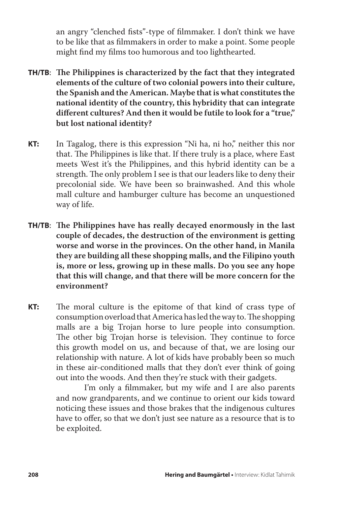an angry "clenched fists"-type of filmmaker. I don't think we have to be like that as filmmakers in order to make a point. Some people might find my films too humorous and too lighthearted.

- **TH/TB**: **The Philippines is characterized by the fact that they integrated elements of the culture of two colonial powers into their culture, the Spanish and the American. Maybe that is what constitutes the national identity of the country, this hybridity that can integrate different cultures? And then it would be futile to look for a "true," but lost national identity?**
- **KT:** In Tagalog, there is this expression "Ni ha, ni ho," neither this nor that. The Philippines is like that. If there truly is a place, where East meets West it's the Philippines, and this hybrid identity can be a strength. The only problem I see is that our leaders like to deny their precolonial side. We have been so brainwashed. And this whole mall culture and hamburger culture has become an unquestioned way of life.
- **TH/TB**: **The Philippines have has really decayed enormously in the last couple of decades, the destruction of the environment is getting worse and worse in the provinces. On the other hand, in Manila they are building all these shopping malls, and the Filipino youth is, more or less, growing up in these malls. Do you see any hope that this will change, and that there will be more concern for the environment?**
- **KT:** The moral culture is the epitome of that kind of crass type of consumption overload that America has led the way to. The shopping malls are a big Trojan horse to lure people into consumption. The other big Trojan horse is television. They continue to force this growth model on us, and because of that, we are losing our relationship with nature. A lot of kids have probably been so much in these air-conditioned malls that they don't ever think of going out into the woods. And then they're stuck with their gadgets.

 I'm only a filmmaker, but my wife and I are also parents and now grandparents, and we continue to orient our kids toward noticing these issues and those brakes that the indigenous cultures have to offer, so that we don't just see nature as a resource that is to be exploited.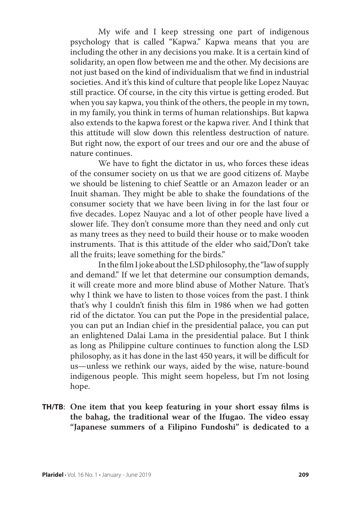My wife and I keep stressing one part of indigenous psychology that is called "Kapwa." Kapwa means that you are including the other in any decisions you make. It is a certain kind of solidarity, an open flow between me and the other. My decisions are not just based on the kind of individualism that we find in industrial societies. And it's this kind of culture that people like Lopez Nauyac still practice. Of course, in the city this virtue is getting eroded. But when you say kapwa, you think of the others, the people in my town, in my family, you think in terms of human relationships. But kapwa also extends to the kapwa forest or the kapwa river. And I think that this attitude will slow down this relentless destruction of nature. But right now, the export of our trees and our ore and the abuse of nature continues.

 We have to fight the dictator in us, who forces these ideas of the consumer society on us that we are good citizens of. Maybe we should be listening to chief Seattle or an Amazon leader or an Inuit shaman. They might be able to shake the foundations of the consumer society that we have been living in for the last four or five decades. Lopez Nauyac and a lot of other people have lived a slower life. They don't consume more than they need and only cut as many trees as they need to build their house or to make wooden instruments. That is this attitude of the elder who said,"Don't take all the fruits; leave something for the birds."

 In the film I joke about the LSD philosophy, the "law of supply and demand." If we let that determine our consumption demands, it will create more and more blind abuse of Mother Nature. That's why I think we have to listen to those voices from the past. I think that's why I couldn't finish this film in 1986 when we had gotten rid of the dictator. You can put the Pope in the presidential palace, you can put an Indian chief in the presidential palace, you can put an enlightened Dalai Lama in the presidential palace. But I think as long as Philippine culture continues to function along the LSD philosophy, as it has done in the last 450 years, it will be difficult for us—unless we rethink our ways, aided by the wise, nature-bound indigenous people. This might seem hopeless, but I'm not losing hope.

**TH/TB**: **One item that you keep featuring in your short essay films is the bahag, the traditional wear of the Ifugao. The video essay "Japanese summers of a Filipino Fundoshi" is dedicated to a**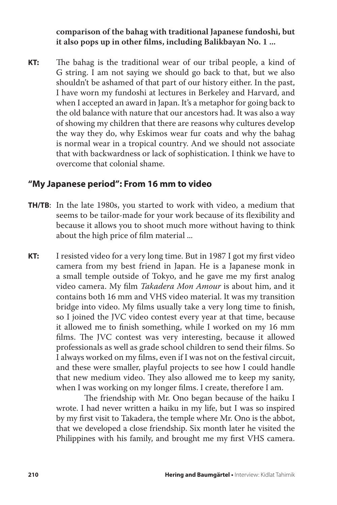**comparison of the bahag with traditional Japanese fundoshi, but it also pops up in other films, including Balikbayan No. 1 ...**

**KT:** The bahag is the traditional wear of our tribal people, a kind of G string. I am not saying we should go back to that, but we also shouldn't be ashamed of that part of our history either. In the past, I have worn my fundoshi at lectures in Berkeley and Harvard, and when I accepted an award in Japan. It's a metaphor for going back to the old balance with nature that our ancestors had. It was also a way of showing my children that there are reasons why cultures develop the way they do, why Eskimos wear fur coats and why the bahag is normal wear in a tropical country. And we should not associate that with backwardness or lack of sophistication. I think we have to overcome that colonial shame.

# **"My Japanese period": From 16 mm to video**

- **TH/TB**: In the late 1980s, you started to work with video, a medium that seems to be tailor-made for your work because of its flexibility and because it allows you to shoot much more without having to think about the high price of film material ...
- **KT:** I resisted video for a very long time. But in 1987 I got my first video camera from my best friend in Japan. He is a Japanese monk in a small temple outside of Tokyo, and he gave me my first analog video camera. My film *Takadera Mon Amour* is about him, and it contains both 16 mm and VHS video material. It was my transition bridge into video. My films usually take a very long time to finish, so I joined the JVC video contest every year at that time, because it allowed me to finish something, while I worked on my 16 mm films. The JVC contest was very interesting, because it allowed professionals as well as grade school children to send their films. So I always worked on my films, even if I was not on the festival circuit, and these were smaller, playful projects to see how I could handle that new medium video. They also allowed me to keep my sanity, when I was working on my longer films. I create, therefore I am.

 The friendship with Mr. Ono began because of the haiku I wrote. I had never written a haiku in my life, but I was so inspired by my first visit to Takadera, the temple where Mr. Ono is the abbot, that we developed a close friendship. Six month later he visited the Philippines with his family, and brought me my first VHS camera.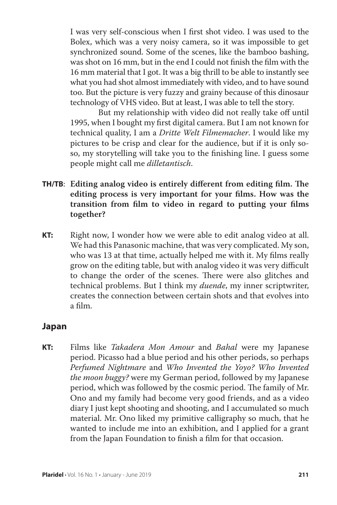I was very self-conscious when I first shot video. I was used to the Bolex, which was a very noisy camera, so it was impossible to get synchronized sound. Some of the scenes, like the bamboo bashing, was shot on 16 mm, but in the end I could not finish the film with the 16 mm material that I got. It was a big thrill to be able to instantly see what you had shot almost immediately with video, and to have sound too. But the picture is very fuzzy and grainy because of this dinosaur technology of VHS video. But at least, I was able to tell the story.

 But my relationship with video did not really take off until 1995, when I bought my first digital camera. But I am not known for technical quality, I am a *Dritte Welt Filmemacher*. I would like my pictures to be crisp and clear for the audience, but if it is only soso, my storytelling will take you to the finishing line. I guess some people might call me *dilletantisch*.

- **TH/TB**: **Editing analog video is entirely different from editing film. The editing process is very important for your films. How was the transition from film to video in regard to putting your films together?**
- **KT:** Right now, I wonder how we were able to edit analog video at all. We had this Panasonic machine, that was very complicated. My son, who was 13 at that time, actually helped me with it. My films really grow on the editing table, but with analog video it was very difficult to change the order of the scenes. There were also glitches and technical problems. But I think my *duende*, my inner scriptwriter, creates the connection between certain shots and that evolves into a film.

# **Japan**

**KT:** Films like *Takadera Mon Amour* and *Bahal* were my Japanese period. Picasso had a blue period and his other periods, so perhaps *Perfumed Nightmare* and *Who Invented the Yoyo? Who Invented the moon buggy?* were my German period, followed by my Japanese period, which was followed by the cosmic period. The family of Mr. Ono and my family had become very good friends, and as a video diary I just kept shooting and shooting, and I accumulated so much material. Mr. Ono liked my primitive calligraphy so much, that he wanted to include me into an exhibition, and I applied for a grant from the Japan Foundation to finish a film for that occasion.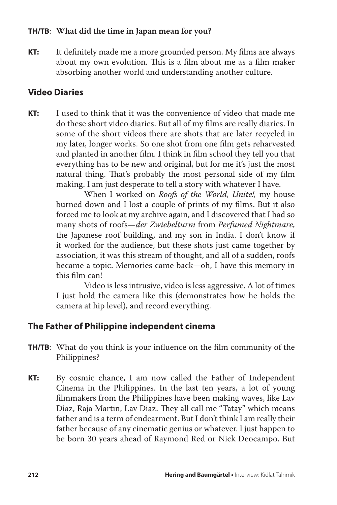## **TH/TB**: **What did the time in Japan mean for you?**

**KT:** It definitely made me a more grounded person. My films are always about my own evolution. This is a film about me as a film maker absorbing another world and understanding another culture.

# **Video Diaries**

**KT:** I used to think that it was the convenience of video that made me do these short video diaries. But all of my films are really diaries. In some of the short videos there are shots that are later recycled in my later, longer works. So one shot from one film gets reharvested and planted in another film. I think in film school they tell you that everything has to be new and original, but for me it's just the most natural thing. That's probably the most personal side of my film making. I am just desperate to tell a story with whatever I have.

> When I worked on *Roofs of the World, Unite!,* my house burned down and I lost a couple of prints of my films. But it also forced me to look at my archive again, and I discovered that I had so many shots of roofs—*der Zwiebelturm* from *Perfumed Nightmare*, the Japanese roof building, and my son in India. I don't know if it worked for the audience, but these shots just came together by association, it was this stream of thought, and all of a sudden, roofs became a topic. Memories came back—oh, I have this memory in this film can!

> Video is less intrusive, video is less aggressive. A lot of times I just hold the camera like this (demonstrates how he holds the camera at hip level), and record everything.

# **The Father of Philippine independent cinema**

- **TH/TB**: What do you think is your influence on the film community of the Philippines?
- **KT:** By cosmic chance, I am now called the Father of Independent Cinema in the Philippines. In the last ten years, a lot of young filmmakers from the Philippines have been making waves, like Lav Diaz, Raja Martin, Lav Diaz. They all call me "Tatay" which means father and is a term of endearment. But I don't think I am really their father because of any cinematic genius or whatever. I just happen to be born 30 years ahead of Raymond Red or Nick Deocampo. But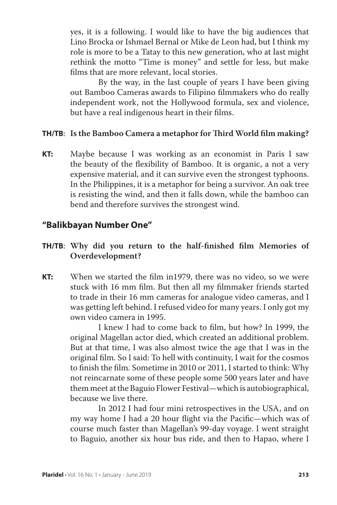yes, it is a following. I would like to have the big audiences that Lino Brocka or Ishmael Bernal or Mike de Leon had, but I think my role is more to be a Tatay to this new generation, who at last might rethink the motto "Time is money" and settle for less, but make films that are more relevant, local stories.

 By the way, in the last couple of years I have been giving out Bamboo Cameras awards to Filipino filmmakers who do really independent work, not the Hollywood formula, sex and violence, but have a real indigenous heart in their films.

#### **TH/TB**: **Is the Bamboo Camera a metaphor for Third World film making?**

**KT:** Maybe because I was working as an economist in Paris I saw the beauty of the flexibility of Bamboo. It is organic, a not a very expensive material, and it can survive even the strongest typhoons. In the Philippines, it is a metaphor for being a survivor. An oak tree is resisting the wind, and then it falls down, while the bamboo can bend and therefore survives the strongest wind.

#### **"Balikbayan Number One"**

# **TH/TB**: **Why did you return to the half-finished film Memories of Overdevelopment?**

**KT:** When we started the film in1979, there was no video, so we were stuck with 16 mm film. But then all my filmmaker friends started to trade in their 16 mm cameras for analogue video cameras, and I was getting left behind. I refused video for many years. I only got my own video camera in 1995.

> I knew I had to come back to film, but how? In 1999, the original Magellan actor died, which created an additional problem. But at that time, I was also almost twice the age that I was in the original film. So I said: To hell with continuity, I wait for the cosmos to finish the film. Sometime in 2010 or 2011, I started to think: Why not reincarnate some of these people some 500 years later and have them meet at the Baguio Flower Festival—which is autobiographical, because we live there.

> In 2012 I had four mini retrospectives in the USA, and on my way home I had a 20 hour flight via the Pacific—which was of course much faster than Magellan's 99-day voyage. I went straight to Baguio, another six hour bus ride, and then to Hapao, where I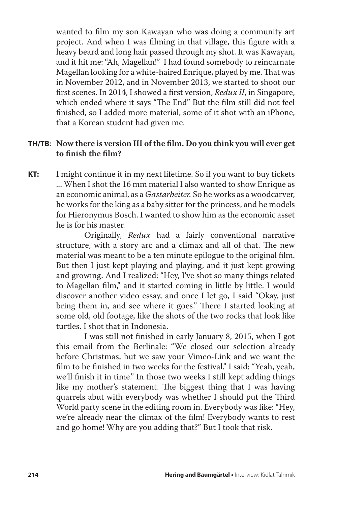wanted to film my son Kawayan who was doing a community art project. And when I was filming in that village, this figure with a heavy beard and long hair passed through my shot. It was Kawayan, and it hit me: "Ah, Magellan!" I had found somebody to reincarnate Magellan looking for a white-haired Enrique, played by me. That was in November 2012, and in November 2013, we started to shoot our first scenes. In 2014, I showed a first version, *Redux II*, in Singapore, which ended where it says "The End" But the film still did not feel finished, so I added more material, some of it shot with an iPhone, that a Korean student had given me.

## **TH/TB**: **Now there is version III of the film. Do you think you will ever get to finish the film?**

**KT:** I might continue it in my next lifetime. So if you want to buy tickets ... When I shot the 16 mm material I also wanted to show Enrique as an economic animal, as a *Gastarbeiter.* So he works as a woodcarver, he works for the king as a baby sitter for the princess, and he models for Hieronymus Bosch. I wanted to show him as the economic asset he is for his master.

> Originally, *Redux* had a fairly conventional narrative structure, with a story arc and a climax and all of that. The new material was meant to be a ten minute epilogue to the original film. But then I just kept playing and playing, and it just kept growing and growing. And I realized: "Hey, I've shot so many things related to Magellan film," and it started coming in little by little. I would discover another video essay, and once I let go, I said "Okay, just bring them in, and see where it goes." There I started looking at some old, old footage, like the shots of the two rocks that look like turtles. I shot that in Indonesia.

> I was still not finished in early January 8, 2015, when I got this email from the Berlinale: "We closed our selection already before Christmas, but we saw your Vimeo-Link and we want the film to be finished in two weeks for the festival." I said: "Yeah, yeah, we'll finish it in time." In those two weeks I still kept adding things like my mother's statement. The biggest thing that I was having quarrels abut with everybody was whether I should put the Third World party scene in the editing room in. Everybody was like: "Hey, we're already near the climax of the film! Everybody wants to rest and go home! Why are you adding that?" But I took that risk.